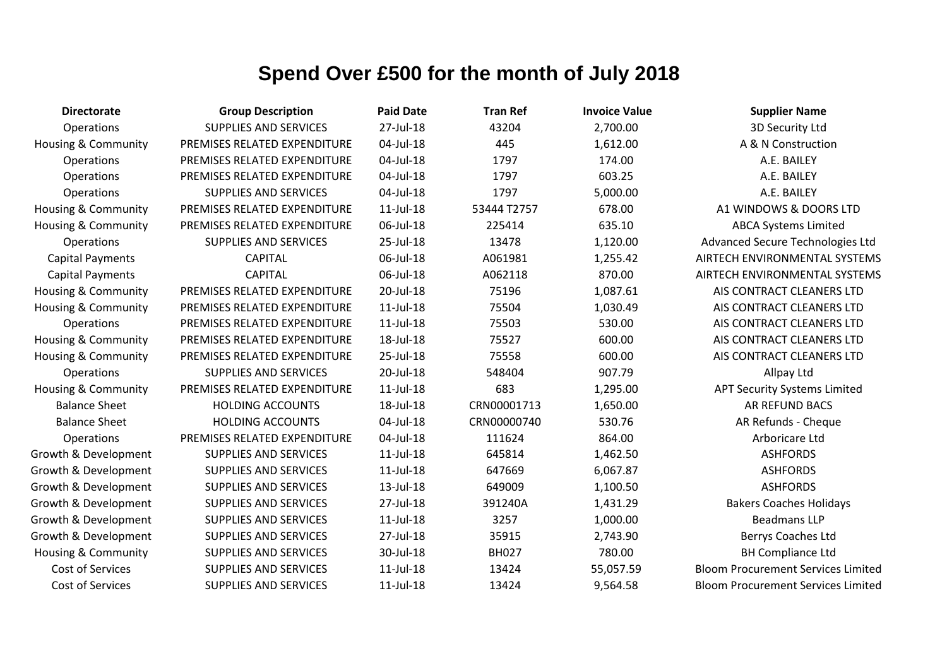| <b>Directorate</b>             | <b>Group Description</b>     | <b>Paid Date</b> | <b>Tran Ref</b> | <b>Invoice Value</b> | <b>Supplier Name</b>                      |
|--------------------------------|------------------------------|------------------|-----------------|----------------------|-------------------------------------------|
| Operations                     | <b>SUPPLIES AND SERVICES</b> | 27-Jul-18        | 43204           | 2,700.00             | 3D Security Ltd                           |
| <b>Housing &amp; Community</b> | PREMISES RELATED EXPENDITURE | 04-Jul-18        | 445             | 1,612.00             | A & N Construction                        |
| <b>Operations</b>              | PREMISES RELATED EXPENDITURE | 04-Jul-18        | 1797            | 174.00               | A.E. BAILEY                               |
| Operations                     | PREMISES RELATED EXPENDITURE | 04-Jul-18        | 1797            | 603.25               | A.E. BAILEY                               |
| <b>Operations</b>              | <b>SUPPLIES AND SERVICES</b> | 04-Jul-18        | 1797            | 5,000.00             | A.E. BAILEY                               |
| <b>Housing &amp; Community</b> | PREMISES RELATED EXPENDITURE | 11-Jul-18        | 53444 T2757     | 678.00               | A1 WINDOWS & DOORS LTD                    |
| <b>Housing &amp; Community</b> | PREMISES RELATED EXPENDITURE | 06-Jul-18        | 225414          | 635.10               | <b>ABCA Systems Limited</b>               |
| Operations                     | <b>SUPPLIES AND SERVICES</b> | 25-Jul-18        | 13478           | 1,120.00             | Advanced Secure Technologies Ltd          |
| <b>Capital Payments</b>        | <b>CAPITAL</b>               | 06-Jul-18        | A061981         | 1,255.42             | AIRTECH ENVIRONMENTAL SYSTEMS             |
| <b>Capital Payments</b>        | <b>CAPITAL</b>               | 06-Jul-18        | A062118         | 870.00               | AIRTECH ENVIRONMENTAL SYSTEMS             |
| <b>Housing &amp; Community</b> | PREMISES RELATED EXPENDITURE | 20-Jul-18        | 75196           | 1,087.61             | AIS CONTRACT CLEANERS LTD                 |
| <b>Housing &amp; Community</b> | PREMISES RELATED EXPENDITURE | $11$ -Jul- $18$  | 75504           | 1,030.49             | AIS CONTRACT CLEANERS LTD                 |
| Operations                     | PREMISES RELATED EXPENDITURE | $11$ -Jul- $18$  | 75503           | 530.00               | AIS CONTRACT CLEANERS LTD                 |
| <b>Housing &amp; Community</b> | PREMISES RELATED EXPENDITURE | 18-Jul-18        | 75527           | 600.00               | AIS CONTRACT CLEANERS LTD                 |
| <b>Housing &amp; Community</b> | PREMISES RELATED EXPENDITURE | 25-Jul-18        | 75558           | 600.00               | AIS CONTRACT CLEANERS LTD                 |
| <b>Operations</b>              | <b>SUPPLIES AND SERVICES</b> | 20-Jul-18        | 548404          | 907.79               | Allpay Ltd                                |
| <b>Housing &amp; Community</b> | PREMISES RELATED EXPENDITURE | $11$ -Jul- $18$  | 683             | 1,295.00             | <b>APT Security Systems Limited</b>       |
| <b>Balance Sheet</b>           | <b>HOLDING ACCOUNTS</b>      | 18-Jul-18        | CRN00001713     | 1,650.00             | <b>AR REFUND BACS</b>                     |
| <b>Balance Sheet</b>           | <b>HOLDING ACCOUNTS</b>      | 04-Jul-18        | CRN00000740     | 530.76               | AR Refunds - Cheque                       |
| <b>Operations</b>              | PREMISES RELATED EXPENDITURE | 04-Jul-18        | 111624          | 864.00               | Arboricare Ltd                            |
| Growth & Development           | <b>SUPPLIES AND SERVICES</b> | $11$ -Jul- $18$  | 645814          | 1,462.50             | <b>ASHFORDS</b>                           |
| Growth & Development           | <b>SUPPLIES AND SERVICES</b> | $11$ -Jul- $18$  | 647669          | 6,067.87             | <b>ASHFORDS</b>                           |
| Growth & Development           | <b>SUPPLIES AND SERVICES</b> | 13-Jul-18        | 649009          | 1,100.50             | <b>ASHFORDS</b>                           |
| Growth & Development           | <b>SUPPLIES AND SERVICES</b> | 27-Jul-18        | 391240A         | 1,431.29             | <b>Bakers Coaches Holidays</b>            |
| Growth & Development           | <b>SUPPLIES AND SERVICES</b> | $11$ -Jul- $18$  | 3257            | 1,000.00             | <b>Beadmans LLP</b>                       |
| Growth & Development           | <b>SUPPLIES AND SERVICES</b> | 27-Jul-18        | 35915           | 2,743.90             | <b>Berrys Coaches Ltd</b>                 |
| Housing & Community            | <b>SUPPLIES AND SERVICES</b> | 30-Jul-18        | <b>BH027</b>    | 780.00               | <b>BH Compliance Ltd</b>                  |
| Cost of Services               | <b>SUPPLIES AND SERVICES</b> | $11$ -Jul- $18$  | 13424           | 55,057.59            | <b>Bloom Procurement Services Limited</b> |
| Cost of Services               | <b>SUPPLIES AND SERVICES</b> | 11-Jul-18        | 13424           | 9,564.58             | <b>Bloom Procurement Services Limited</b> |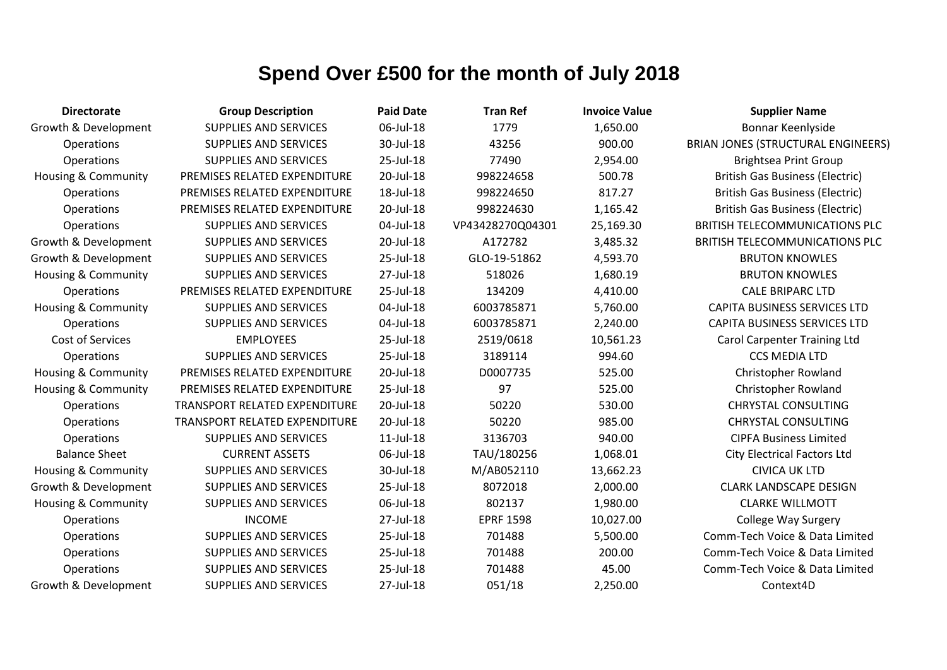| <b>Directorate</b>             | <b>Group Description</b>             | <b>Paid Date</b> | <b>Tran Ref</b>  | <b>Invoice Value</b> | <b>Supplier Name</b>                      |
|--------------------------------|--------------------------------------|------------------|------------------|----------------------|-------------------------------------------|
| Growth & Development           | <b>SUPPLIES AND SERVICES</b>         | 06-Jul-18        | 1779             | 1,650.00             | Bonnar Keenlyside                         |
| Operations                     | <b>SUPPLIES AND SERVICES</b>         | 30-Jul-18        | 43256            | 900.00               | <b>BRIAN JONES (STRUCTURAL ENGINEERS)</b> |
| Operations                     | <b>SUPPLIES AND SERVICES</b>         | 25-Jul-18        | 77490            | 2,954.00             | <b>Brightsea Print Group</b>              |
| <b>Housing &amp; Community</b> | PREMISES RELATED EXPENDITURE         | 20-Jul-18        | 998224658        | 500.78               | <b>British Gas Business (Electric)</b>    |
| Operations                     | PREMISES RELATED EXPENDITURE         | 18-Jul-18        | 998224650        | 817.27               | <b>British Gas Business (Electric)</b>    |
| Operations                     | PREMISES RELATED EXPENDITURE         | 20-Jul-18        | 998224630        | 1,165.42             | <b>British Gas Business (Electric)</b>    |
| Operations                     | <b>SUPPLIES AND SERVICES</b>         | 04-Jul-18        | VP43428270Q04301 | 25,169.30            | <b>BRITISH TELECOMMUNICATIONS PLC</b>     |
| Growth & Development           | <b>SUPPLIES AND SERVICES</b>         | 20-Jul-18        | A172782          | 3,485.32             | <b>BRITISH TELECOMMUNICATIONS PLC</b>     |
| Growth & Development           | <b>SUPPLIES AND SERVICES</b>         | 25-Jul-18        | GLO-19-51862     | 4,593.70             | <b>BRUTON KNOWLES</b>                     |
| <b>Housing &amp; Community</b> | <b>SUPPLIES AND SERVICES</b>         | 27-Jul-18        | 518026           | 1,680.19             | <b>BRUTON KNOWLES</b>                     |
| Operations                     | PREMISES RELATED EXPENDITURE         | 25-Jul-18        | 134209           | 4,410.00             | <b>CALE BRIPARC LTD</b>                   |
| <b>Housing &amp; Community</b> | <b>SUPPLIES AND SERVICES</b>         | 04-Jul-18        | 6003785871       | 5,760.00             | <b>CAPITA BUSINESS SERVICES LTD</b>       |
| Operations                     | <b>SUPPLIES AND SERVICES</b>         | 04-Jul-18        | 6003785871       | 2,240.00             | <b>CAPITA BUSINESS SERVICES LTD</b>       |
| Cost of Services               | <b>EMPLOYEES</b>                     | 25-Jul-18        | 2519/0618        | 10,561.23            | <b>Carol Carpenter Training Ltd</b>       |
| Operations                     | <b>SUPPLIES AND SERVICES</b>         | 25-Jul-18        | 3189114          | 994.60               | <b>CCS MEDIA LTD</b>                      |
| Housing & Community            | PREMISES RELATED EXPENDITURE         | 20-Jul-18        | D0007735         | 525.00               | <b>Christopher Rowland</b>                |
| <b>Housing &amp; Community</b> | PREMISES RELATED EXPENDITURE         | 25-Jul-18        | 97               | 525.00               | Christopher Rowland                       |
| Operations                     | TRANSPORT RELATED EXPENDITURE        | 20-Jul-18        | 50220            | 530.00               | <b>CHRYSTAL CONSULTING</b>                |
| Operations                     | <b>TRANSPORT RELATED EXPENDITURE</b> | 20-Jul-18        | 50220            | 985.00               | <b>CHRYSTAL CONSULTING</b>                |
| Operations                     | <b>SUPPLIES AND SERVICES</b>         | 11-Jul-18        | 3136703          | 940.00               | <b>CIPFA Business Limited</b>             |
| <b>Balance Sheet</b>           | <b>CURRENT ASSETS</b>                | 06-Jul-18        | TAU/180256       | 1,068.01             | <b>City Electrical Factors Ltd</b>        |
| Housing & Community            | <b>SUPPLIES AND SERVICES</b>         | 30-Jul-18        | M/AB052110       | 13,662.23            | <b>CIVICA UK LTD</b>                      |
| Growth & Development           | <b>SUPPLIES AND SERVICES</b>         | 25-Jul-18        | 8072018          | 2,000.00             | <b>CLARK LANDSCAPE DESIGN</b>             |
| <b>Housing &amp; Community</b> | <b>SUPPLIES AND SERVICES</b>         | 06-Jul-18        | 802137           | 1,980.00             | <b>CLARKE WILLMOTT</b>                    |
| Operations                     | <b>INCOME</b>                        | 27-Jul-18        | <b>EPRF 1598</b> | 10,027.00            | <b>College Way Surgery</b>                |
| Operations                     | <b>SUPPLIES AND SERVICES</b>         | 25-Jul-18        | 701488           | 5,500.00             | Comm-Tech Voice & Data Limited            |
| Operations                     | <b>SUPPLIES AND SERVICES</b>         | 25-Jul-18        | 701488           | 200.00               | Comm-Tech Voice & Data Limited            |
| Operations                     | <b>SUPPLIES AND SERVICES</b>         | 25-Jul-18        | 701488           | 45.00                | Comm-Tech Voice & Data Limited            |
| Growth & Development           | <b>SUPPLIES AND SERVICES</b>         | 27-Jul-18        | 051/18           | 2,250.00             | Context4D                                 |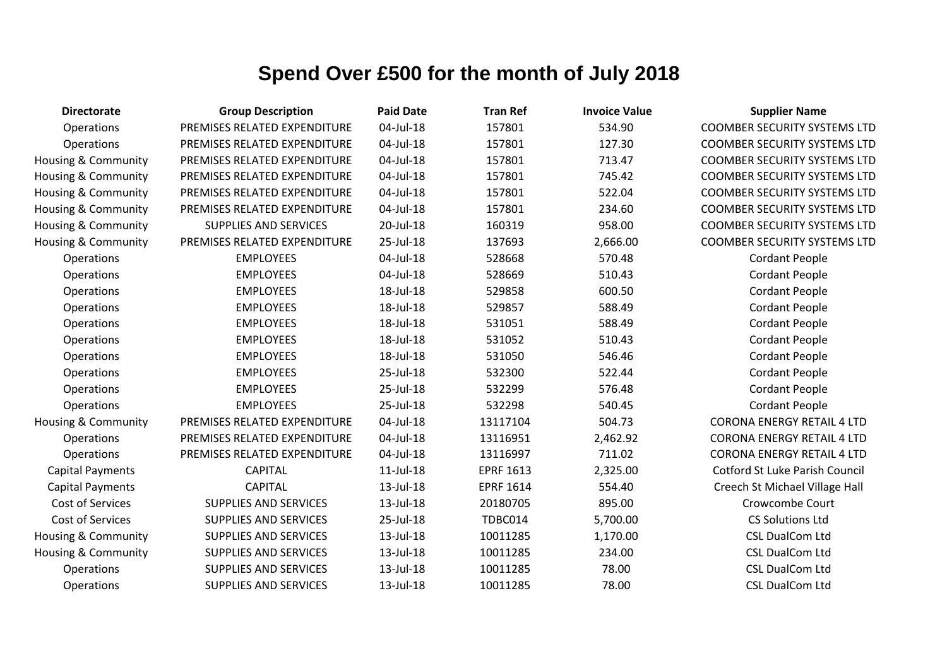| <b>Directorate</b>             | <b>Group Description</b>     | <b>Paid Date</b> | <b>Tran Ref</b>  | <b>Invoice Value</b> | <b>Supplier Name</b>                  |
|--------------------------------|------------------------------|------------------|------------------|----------------------|---------------------------------------|
| Operations                     | PREMISES RELATED EXPENDITURE | 04-Jul-18        | 157801           | 534.90               | <b>COOMBER SECURITY SYSTEMS LTD</b>   |
| Operations                     | PREMISES RELATED EXPENDITURE | 04-Jul-18        | 157801           | 127.30               | <b>COOMBER SECURITY SYSTEMS LTD</b>   |
| <b>Housing &amp; Community</b> | PREMISES RELATED EXPENDITURE | 04-Jul-18        | 157801           | 713.47               | <b>COOMBER SECURITY SYSTEMS LTD</b>   |
| Housing & Community            | PREMISES RELATED EXPENDITURE | 04-Jul-18        | 157801           | 745.42               | <b>COOMBER SECURITY SYSTEMS LTD</b>   |
| Housing & Community            | PREMISES RELATED EXPENDITURE | 04-Jul-18        | 157801           | 522.04               | <b>COOMBER SECURITY SYSTEMS LTD</b>   |
| Housing & Community            | PREMISES RELATED EXPENDITURE | 04-Jul-18        | 157801           | 234.60               | <b>COOMBER SECURITY SYSTEMS LTD</b>   |
| <b>Housing &amp; Community</b> | <b>SUPPLIES AND SERVICES</b> | 20-Jul-18        | 160319           | 958.00               | <b>COOMBER SECURITY SYSTEMS LTD</b>   |
| <b>Housing &amp; Community</b> | PREMISES RELATED EXPENDITURE | 25-Jul-18        | 137693           | 2,666.00             | <b>COOMBER SECURITY SYSTEMS LTD</b>   |
| Operations                     | <b>EMPLOYEES</b>             | 04-Jul-18        | 528668           | 570.48               | <b>Cordant People</b>                 |
| Operations                     | <b>EMPLOYEES</b>             | 04-Jul-18        | 528669           | 510.43               | <b>Cordant People</b>                 |
| Operations                     | <b>EMPLOYEES</b>             | 18-Jul-18        | 529858           | 600.50               | <b>Cordant People</b>                 |
| Operations                     | <b>EMPLOYEES</b>             | 18-Jul-18        | 529857           | 588.49               | <b>Cordant People</b>                 |
| Operations                     | <b>EMPLOYEES</b>             | 18-Jul-18        | 531051           | 588.49               | <b>Cordant People</b>                 |
| Operations                     | <b>EMPLOYEES</b>             | 18-Jul-18        | 531052           | 510.43               | <b>Cordant People</b>                 |
| Operations                     | <b>EMPLOYEES</b>             | 18-Jul-18        | 531050           | 546.46               | <b>Cordant People</b>                 |
| Operations                     | <b>EMPLOYEES</b>             | 25-Jul-18        | 532300           | 522.44               | <b>Cordant People</b>                 |
| Operations                     | <b>EMPLOYEES</b>             | 25-Jul-18        | 532299           | 576.48               | <b>Cordant People</b>                 |
| Operations                     | <b>EMPLOYEES</b>             | 25-Jul-18        | 532298           | 540.45               | <b>Cordant People</b>                 |
| Housing & Community            | PREMISES RELATED EXPENDITURE | 04-Jul-18        | 13117104         | 504.73               | <b>CORONA ENERGY RETAIL 4 LTD</b>     |
| <b>Operations</b>              | PREMISES RELATED EXPENDITURE | 04-Jul-18        | 13116951         | 2,462.92             | <b>CORONA ENERGY RETAIL 4 LTD</b>     |
| Operations                     | PREMISES RELATED EXPENDITURE | 04-Jul-18        | 13116997         | 711.02               | <b>CORONA ENERGY RETAIL 4 LTD</b>     |
| <b>Capital Payments</b>        | <b>CAPITAL</b>               | 11-Jul-18        | <b>EPRF 1613</b> | 2,325.00             | <b>Cotford St Luke Parish Council</b> |
| <b>Capital Payments</b>        | <b>CAPITAL</b>               | 13-Jul-18        | <b>EPRF 1614</b> | 554.40               | Creech St Michael Village Hall        |
| Cost of Services               | SUPPLIES AND SERVICES        | 13-Jul-18        | 20180705         | 895.00               | Crowcombe Court                       |
| Cost of Services               | <b>SUPPLIES AND SERVICES</b> | 25-Jul-18        | TDBC014          | 5,700.00             | <b>CS Solutions Ltd</b>               |
| Housing & Community            | SUPPLIES AND SERVICES        | 13-Jul-18        | 10011285         | 1,170.00             | <b>CSL DualCom Ltd</b>                |
| Housing & Community            | SUPPLIES AND SERVICES        | 13-Jul-18        | 10011285         | 234.00               | <b>CSL DualCom Ltd</b>                |
| Operations                     | SUPPLIES AND SERVICES        | 13-Jul-18        | 10011285         | 78.00                | <b>CSL DualCom Ltd</b>                |
| Operations                     | <b>SUPPLIES AND SERVICES</b> | 13-Jul-18        | 10011285         | 78.00                | <b>CSL DualCom Ltd</b>                |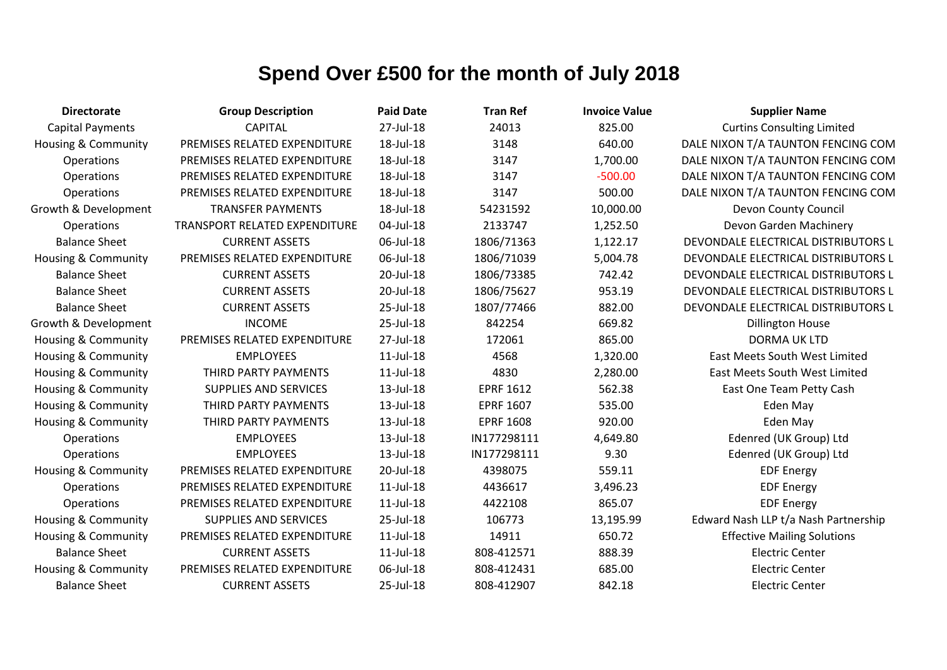| <b>Directorate</b>             | <b>Group Description</b>             | <b>Paid Date</b> | <b>Tran Ref</b>  | <b>Invoice Value</b> | <b>Supplier Name</b>                 |
|--------------------------------|--------------------------------------|------------------|------------------|----------------------|--------------------------------------|
| <b>Capital Payments</b>        | <b>CAPITAL</b>                       | 27-Jul-18        | 24013            | 825.00               | <b>Curtins Consulting Limited</b>    |
| <b>Housing &amp; Community</b> | PREMISES RELATED EXPENDITURE         | 18-Jul-18        | 3148             | 640.00               | DALE NIXON T/A TAUNTON FENCING COM   |
| Operations                     | PREMISES RELATED EXPENDITURE         | 18-Jul-18        | 3147             | 1,700.00             | DALE NIXON T/A TAUNTON FENCING COM   |
| Operations                     | PREMISES RELATED EXPENDITURE         | 18-Jul-18        | 3147             | $-500.00$            | DALE NIXON T/A TAUNTON FENCING COM   |
| Operations                     | PREMISES RELATED EXPENDITURE         | 18-Jul-18        | 3147             | 500.00               | DALE NIXON T/A TAUNTON FENCING COM   |
| Growth & Development           | <b>TRANSFER PAYMENTS</b>             | 18-Jul-18        | 54231592         | 10,000.00            | Devon County Council                 |
| Operations                     | <b>TRANSPORT RELATED EXPENDITURE</b> | 04-Jul-18        | 2133747          | 1,252.50             | Devon Garden Machinery               |
| <b>Balance Sheet</b>           | <b>CURRENT ASSETS</b>                | 06-Jul-18        | 1806/71363       | 1,122.17             | DEVONDALE ELECTRICAL DISTRIBUTORS L  |
| Housing & Community            | PREMISES RELATED EXPENDITURE         | 06-Jul-18        | 1806/71039       | 5,004.78             | DEVONDALE ELECTRICAL DISTRIBUTORS L  |
| <b>Balance Sheet</b>           | <b>CURRENT ASSETS</b>                | 20-Jul-18        | 1806/73385       | 742.42               | DEVONDALE ELECTRICAL DISTRIBUTORS L  |
| <b>Balance Sheet</b>           | <b>CURRENT ASSETS</b>                | 20-Jul-18        | 1806/75627       | 953.19               | DEVONDALE ELECTRICAL DISTRIBUTORS L  |
| <b>Balance Sheet</b>           | <b>CURRENT ASSETS</b>                | 25-Jul-18        | 1807/77466       | 882.00               | DEVONDALE ELECTRICAL DISTRIBUTORS L  |
| Growth & Development           | <b>INCOME</b>                        | 25-Jul-18        | 842254           | 669.82               | <b>Dillington House</b>              |
| <b>Housing &amp; Community</b> | PREMISES RELATED EXPENDITURE         | 27-Jul-18        | 172061           | 865.00               | <b>DORMA UK LTD</b>                  |
| <b>Housing &amp; Community</b> | <b>EMPLOYEES</b>                     | $11$ -Jul- $18$  | 4568             | 1,320.00             | East Meets South West Limited        |
| Housing & Community            | THIRD PARTY PAYMENTS                 | $11$ -Jul- $18$  | 4830             | 2,280.00             | <b>East Meets South West Limited</b> |
| Housing & Community            | <b>SUPPLIES AND SERVICES</b>         | 13-Jul-18        | <b>EPRF 1612</b> | 562.38               | East One Team Petty Cash             |
| Housing & Community            | THIRD PARTY PAYMENTS                 | 13-Jul-18        | <b>EPRF 1607</b> | 535.00               | Eden May                             |
| Housing & Community            | THIRD PARTY PAYMENTS                 | 13-Jul-18        | <b>EPRF 1608</b> | 920.00               | Eden May                             |
| Operations                     | <b>EMPLOYEES</b>                     | 13-Jul-18        | IN177298111      | 4,649.80             | Edenred (UK Group) Ltd               |
| Operations                     | <b>EMPLOYEES</b>                     | 13-Jul-18        | IN177298111      | 9.30                 | Edenred (UK Group) Ltd               |
| <b>Housing &amp; Community</b> | PREMISES RELATED EXPENDITURE         | 20-Jul-18        | 4398075          | 559.11               | <b>EDF Energy</b>                    |
| Operations                     | PREMISES RELATED EXPENDITURE         | $11$ -Jul- $18$  | 4436617          | 3,496.23             | <b>EDF Energy</b>                    |
| Operations                     | PREMISES RELATED EXPENDITURE         | $11$ -Jul- $18$  | 4422108          | 865.07               | <b>EDF Energy</b>                    |
| <b>Housing &amp; Community</b> | <b>SUPPLIES AND SERVICES</b>         | 25-Jul-18        | 106773           | 13,195.99            | Edward Nash LLP t/a Nash Partnership |
| <b>Housing &amp; Community</b> | PREMISES RELATED EXPENDITURE         | $11$ -Jul- $18$  | 14911            | 650.72               | <b>Effective Mailing Solutions</b>   |
| <b>Balance Sheet</b>           | <b>CURRENT ASSETS</b>                | $11$ -Jul- $18$  | 808-412571       | 888.39               | <b>Electric Center</b>               |
| Housing & Community            | PREMISES RELATED EXPENDITURE         | 06-Jul-18        | 808-412431       | 685.00               | <b>Electric Center</b>               |
| <b>Balance Sheet</b>           | <b>CURRENT ASSETS</b>                | 25-Jul-18        | 808-412907       | 842.18               | <b>Electric Center</b>               |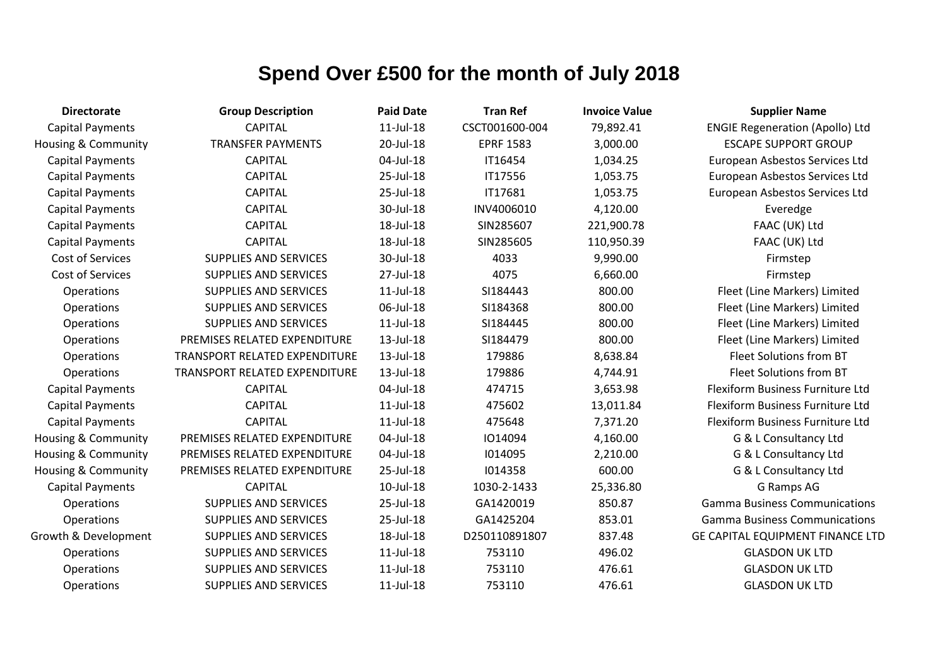| <b>Directorate</b>             | <b>Group Description</b>             | <b>Paid Date</b> | <b>Tran Ref</b>  | <b>Invoice Value</b> | <b>Supplier Name</b>                    |
|--------------------------------|--------------------------------------|------------------|------------------|----------------------|-----------------------------------------|
| <b>Capital Payments</b>        | <b>CAPITAL</b>                       | $11$ -Jul- $18$  | CSCT001600-004   | 79,892.41            | <b>ENGIE Regeneration (Apollo) Ltd</b>  |
| <b>Housing &amp; Community</b> | <b>TRANSFER PAYMENTS</b>             | 20-Jul-18        | <b>EPRF 1583</b> | 3,000.00             | <b>ESCAPE SUPPORT GROUP</b>             |
| Capital Payments               | <b>CAPITAL</b>                       | 04-Jul-18        | IT16454          | 1,034.25             | European Asbestos Services Ltd          |
| <b>Capital Payments</b>        | <b>CAPITAL</b>                       | 25-Jul-18        | IT17556          | 1,053.75             | European Asbestos Services Ltd          |
| <b>Capital Payments</b>        | <b>CAPITAL</b>                       | 25-Jul-18        | IT17681          | 1,053.75             | European Asbestos Services Ltd          |
| <b>Capital Payments</b>        | <b>CAPITAL</b>                       | 30-Jul-18        | INV4006010       | 4,120.00             | Everedge                                |
| <b>Capital Payments</b>        | <b>CAPITAL</b>                       | 18-Jul-18        | SIN285607        | 221,900.78           | FAAC (UK) Ltd                           |
| <b>Capital Payments</b>        | <b>CAPITAL</b>                       | 18-Jul-18        | SIN285605        | 110,950.39           | FAAC (UK) Ltd                           |
| Cost of Services               | <b>SUPPLIES AND SERVICES</b>         | 30-Jul-18        | 4033             | 9,990.00             | Firmstep                                |
| Cost of Services               | <b>SUPPLIES AND SERVICES</b>         | 27-Jul-18        | 4075             | 6,660.00             | Firmstep                                |
| Operations                     | SUPPLIES AND SERVICES                | $11$ -Jul- $18$  | SI184443         | 800.00               | Fleet (Line Markers) Limited            |
| Operations                     | <b>SUPPLIES AND SERVICES</b>         | 06-Jul-18        | SI184368         | 800.00               | Fleet (Line Markers) Limited            |
| Operations                     | <b>SUPPLIES AND SERVICES</b>         | $11$ -Jul- $18$  | SI184445         | 800.00               | Fleet (Line Markers) Limited            |
| Operations                     | PREMISES RELATED EXPENDITURE         | 13-Jul-18        | SI184479         | 800.00               | Fleet (Line Markers) Limited            |
| Operations                     | <b>TRANSPORT RELATED EXPENDITURE</b> | 13-Jul-18        | 179886           | 8,638.84             | Fleet Solutions from BT                 |
| Operations                     | <b>TRANSPORT RELATED EXPENDITURE</b> | 13-Jul-18        | 179886           | 4,744.91             | Fleet Solutions from BT                 |
| <b>Capital Payments</b>        | <b>CAPITAL</b>                       | 04-Jul-18        | 474715           | 3,653.98             | Flexiform Business Furniture Ltd        |
| <b>Capital Payments</b>        | <b>CAPITAL</b>                       | $11$ -Jul- $18$  | 475602           | 13,011.84            | Flexiform Business Furniture Ltd        |
| <b>Capital Payments</b>        | <b>CAPITAL</b>                       | $11$ -Jul- $18$  | 475648           | 7,371.20             | Flexiform Business Furniture Ltd        |
| Housing & Community            | PREMISES RELATED EXPENDITURE         | 04-Jul-18        | 1014094          | 4,160.00             | G & L Consultancy Ltd                   |
| <b>Housing &amp; Community</b> | PREMISES RELATED EXPENDITURE         | 04-Jul-18        | 1014095          | 2,210.00             | G & L Consultancy Ltd                   |
| <b>Housing &amp; Community</b> | PREMISES RELATED EXPENDITURE         | 25-Jul-18        | 1014358          | 600.00               | G & L Consultancy Ltd                   |
| <b>Capital Payments</b>        | <b>CAPITAL</b>                       | 10-Jul-18        | 1030-2-1433      | 25,336.80            | G Ramps AG                              |
| Operations                     | <b>SUPPLIES AND SERVICES</b>         | 25-Jul-18        | GA1420019        | 850.87               | <b>Gamma Business Communications</b>    |
| Operations                     | <b>SUPPLIES AND SERVICES</b>         | 25-Jul-18        | GA1425204        | 853.01               | <b>Gamma Business Communications</b>    |
| Growth & Development           | <b>SUPPLIES AND SERVICES</b>         | 18-Jul-18        | D250110891807    | 837.48               | <b>GE CAPITAL EQUIPMENT FINANCE LTD</b> |
| Operations                     | SUPPLIES AND SERVICES                | 11-Jul-18        | 753110           | 496.02               | <b>GLASDON UK LTD</b>                   |
| Operations                     | <b>SUPPLIES AND SERVICES</b>         | 11-Jul-18        | 753110           | 476.61               | <b>GLASDON UK LTD</b>                   |
| Operations                     | <b>SUPPLIES AND SERVICES</b>         | $11$ -Jul- $18$  | 753110           | 476.61               | <b>GLASDON UK LTD</b>                   |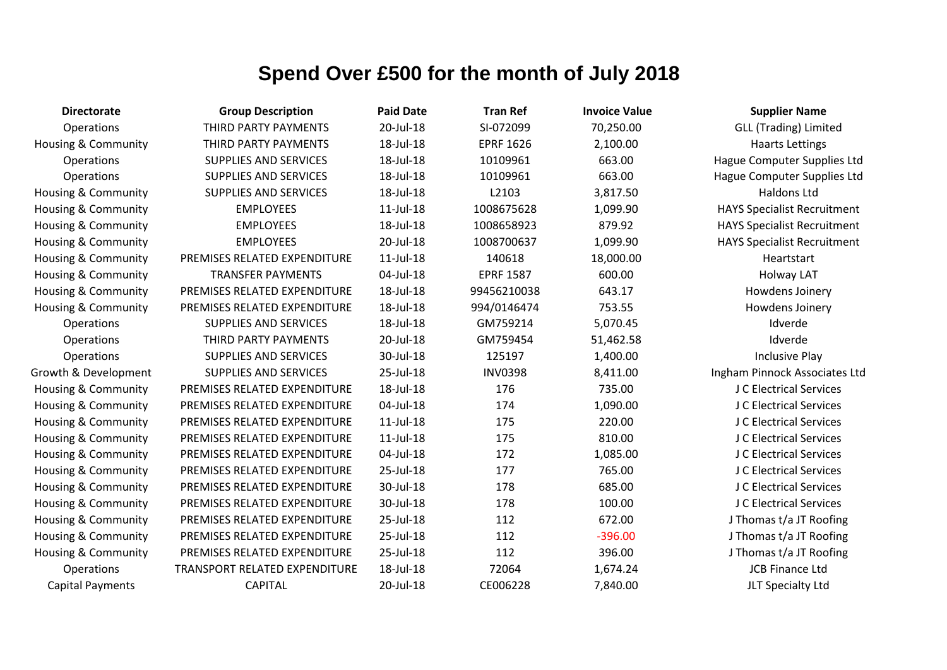| <b>Directorate</b>             | <b>Group Description</b>      | <b>Paid Date</b> | <b>Tran Ref</b>  | <b>Invoice Value</b> | <b>Supplier Name</b>               |
|--------------------------------|-------------------------------|------------------|------------------|----------------------|------------------------------------|
| Operations                     | THIRD PARTY PAYMENTS          | 20-Jul-18        | SI-072099        | 70,250.00            | <b>GLL (Trading) Limited</b>       |
| Housing & Community            | THIRD PARTY PAYMENTS          | 18-Jul-18        | <b>EPRF 1626</b> | 2,100.00             | <b>Haarts Lettings</b>             |
| Operations                     | <b>SUPPLIES AND SERVICES</b>  | 18-Jul-18        | 10109961         | 663.00               | Hague Computer Supplies Ltd        |
| Operations                     | <b>SUPPLIES AND SERVICES</b>  | 18-Jul-18        | 10109961         | 663.00               | Hague Computer Supplies Ltd        |
| Housing & Community            | <b>SUPPLIES AND SERVICES</b>  | 18-Jul-18        | L2103            | 3,817.50             | Haldons Ltd                        |
| <b>Housing &amp; Community</b> | <b>EMPLOYEES</b>              | $11$ -Jul- $18$  | 1008675628       | 1,099.90             | <b>HAYS Specialist Recruitment</b> |
| Housing & Community            | <b>EMPLOYEES</b>              | 18-Jul-18        | 1008658923       | 879.92               | <b>HAYS Specialist Recruitment</b> |
| <b>Housing &amp; Community</b> | <b>EMPLOYEES</b>              | 20-Jul-18        | 1008700637       | 1,099.90             | <b>HAYS Specialist Recruitment</b> |
| Housing & Community            | PREMISES RELATED EXPENDITURE  | $11$ -Jul- $18$  | 140618           | 18,000.00            | Heartstart                         |
| <b>Housing &amp; Community</b> | <b>TRANSFER PAYMENTS</b>      | 04-Jul-18        | <b>EPRF 1587</b> | 600.00               | Holway LAT                         |
| Housing & Community            | PREMISES RELATED EXPENDITURE  | 18-Jul-18        | 99456210038      | 643.17               | Howdens Joinery                    |
| <b>Housing &amp; Community</b> | PREMISES RELATED EXPENDITURE  | 18-Jul-18        | 994/0146474      | 753.55               | Howdens Joinery                    |
| Operations                     | <b>SUPPLIES AND SERVICES</b>  | 18-Jul-18        | GM759214         | 5,070.45             | Idverde                            |
| Operations                     | THIRD PARTY PAYMENTS          | 20-Jul-18        | GM759454         | 51,462.58            | Idverde                            |
| Operations                     | <b>SUPPLIES AND SERVICES</b>  | 30-Jul-18        | 125197           | 1,400.00             | <b>Inclusive Play</b>              |
| Growth & Development           | <b>SUPPLIES AND SERVICES</b>  | 25-Jul-18        | <b>INV0398</b>   | 8,411.00             | Ingham Pinnock Associates Ltd      |
| <b>Housing &amp; Community</b> | PREMISES RELATED EXPENDITURE  | 18-Jul-18        | 176              | 735.00               | J C Electrical Services            |
| <b>Housing &amp; Community</b> | PREMISES RELATED EXPENDITURE  | 04-Jul-18        | 174              | 1,090.00             | J C Electrical Services            |
| Housing & Community            | PREMISES RELATED EXPENDITURE  | $11$ -Jul- $18$  | 175              | 220.00               | J C Electrical Services            |
| Housing & Community            | PREMISES RELATED EXPENDITURE  | $11$ -Jul- $18$  | 175              | 810.00               | J C Electrical Services            |
| <b>Housing &amp; Community</b> | PREMISES RELATED EXPENDITURE  | 04-Jul-18        | 172              | 1,085.00             | J C Electrical Services            |
| <b>Housing &amp; Community</b> | PREMISES RELATED EXPENDITURE  | 25-Jul-18        | 177              | 765.00               | J C Electrical Services            |
| Housing & Community            | PREMISES RELATED EXPENDITURE  | 30-Jul-18        | 178              | 685.00               | J C Electrical Services            |
| Housing & Community            | PREMISES RELATED EXPENDITURE  | 30-Jul-18        | 178              | 100.00               | J C Electrical Services            |
| Housing & Community            | PREMISES RELATED EXPENDITURE  | 25-Jul-18        | 112              | 672.00               | J Thomas t/a JT Roofing            |
| <b>Housing &amp; Community</b> | PREMISES RELATED EXPENDITURE  | 25-Jul-18        | 112              | $-396.00$            | J Thomas t/a JT Roofing            |
| <b>Housing &amp; Community</b> | PREMISES RELATED EXPENDITURE  | 25-Jul-18        | 112              | 396.00               | J Thomas t/a JT Roofing            |
| Operations                     | TRANSPORT RELATED EXPENDITURE | 18-Jul-18        | 72064            | 1,674.24             | <b>JCB Finance Ltd</b>             |
| <b>Capital Payments</b>        | <b>CAPITAL</b>                | 20-Jul-18        | CE006228         | 7,840.00             | JLT Specialty Ltd                  |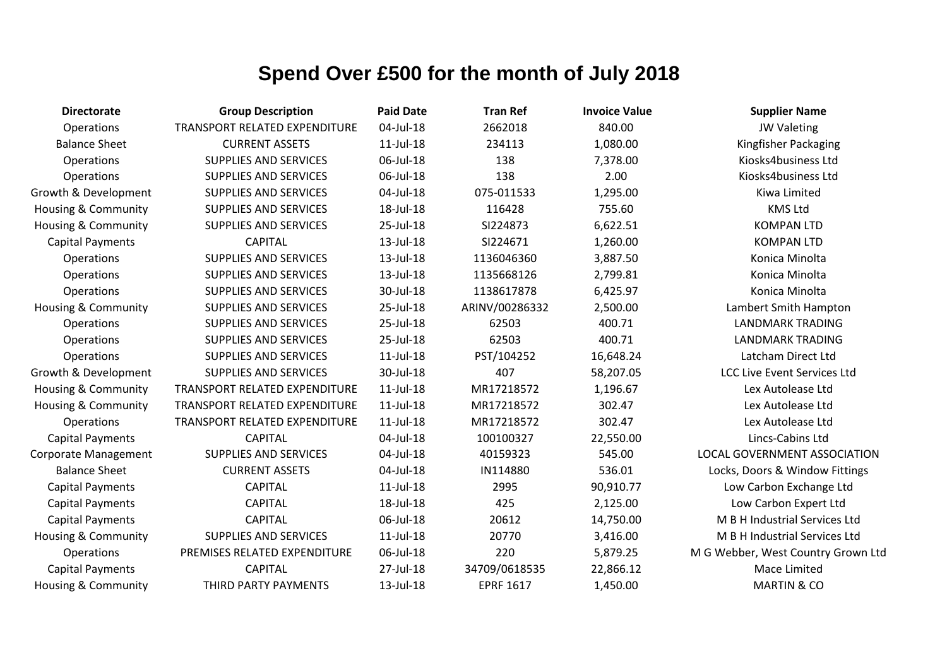| <b>Directorate</b>             | <b>Group Description</b>             | <b>Paid Date</b> | <b>Tran Ref</b>  | <b>Invoice Value</b> | <b>Supplier Name</b>               |
|--------------------------------|--------------------------------------|------------------|------------------|----------------------|------------------------------------|
| Operations                     | <b>TRANSPORT RELATED EXPENDITURE</b> | 04-Jul-18        | 2662018          | 840.00               | <b>JW Valeting</b>                 |
| <b>Balance Sheet</b>           | <b>CURRENT ASSETS</b>                | $11$ -Jul- $18$  | 234113           | 1,080.00             | Kingfisher Packaging               |
| Operations                     | <b>SUPPLIES AND SERVICES</b>         | 06-Jul-18        | 138              | 7,378.00             | Kiosks4business Ltd                |
| Operations                     | <b>SUPPLIES AND SERVICES</b>         | 06-Jul-18        | 138              | 2.00                 | Kiosks4business Ltd                |
| Growth & Development           | <b>SUPPLIES AND SERVICES</b>         | 04-Jul-18        | 075-011533       | 1,295.00             | Kiwa Limited                       |
| <b>Housing &amp; Community</b> | <b>SUPPLIES AND SERVICES</b>         | 18-Jul-18        | 116428           | 755.60               | <b>KMS Ltd</b>                     |
| Housing & Community            | <b>SUPPLIES AND SERVICES</b>         | 25-Jul-18        | SI224873         | 6,622.51             | <b>KOMPAN LTD</b>                  |
| <b>Capital Payments</b>        | <b>CAPITAL</b>                       | 13-Jul-18        | SI224671         | 1,260.00             | <b>KOMPAN LTD</b>                  |
| Operations                     | <b>SUPPLIES AND SERVICES</b>         | 13-Jul-18        | 1136046360       | 3,887.50             | Konica Minolta                     |
| Operations                     | <b>SUPPLIES AND SERVICES</b>         | 13-Jul-18        | 1135668126       | 2,799.81             | Konica Minolta                     |
| Operations                     | SUPPLIES AND SERVICES                | 30-Jul-18        | 1138617878       | 6,425.97             | Konica Minolta                     |
| Housing & Community            | <b>SUPPLIES AND SERVICES</b>         | 25-Jul-18        | ARINV/00286332   | 2,500.00             | Lambert Smith Hampton              |
| Operations                     | <b>SUPPLIES AND SERVICES</b>         | 25-Jul-18        | 62503            | 400.71               | <b>LANDMARK TRADING</b>            |
| Operations                     | <b>SUPPLIES AND SERVICES</b>         | 25-Jul-18        | 62503            | 400.71               | <b>LANDMARK TRADING</b>            |
| Operations                     | SUPPLIES AND SERVICES                | $11$ -Jul- $18$  | PST/104252       | 16,648.24            | Latcham Direct Ltd                 |
| Growth & Development           | <b>SUPPLIES AND SERVICES</b>         | 30-Jul-18        | 407              | 58,207.05            | <b>LCC Live Event Services Ltd</b> |
| <b>Housing &amp; Community</b> | <b>TRANSPORT RELATED EXPENDITURE</b> | $11$ -Jul- $18$  | MR17218572       | 1,196.67             | Lex Autolease Ltd                  |
| <b>Housing &amp; Community</b> | TRANSPORT RELATED EXPENDITURE        | $11$ -Jul- $18$  | MR17218572       | 302.47               | Lex Autolease Ltd                  |
| Operations                     | TRANSPORT RELATED EXPENDITURE        | $11$ -Jul- $18$  | MR17218572       | 302.47               | Lex Autolease Ltd                  |
| <b>Capital Payments</b>        | <b>CAPITAL</b>                       | 04-Jul-18        | 100100327        | 22,550.00            | Lincs-Cabins Ltd                   |
| <b>Corporate Management</b>    | <b>SUPPLIES AND SERVICES</b>         | 04-Jul-18        | 40159323         | 545.00               | LOCAL GOVERNMENT ASSOCIATION       |
| <b>Balance Sheet</b>           | <b>CURRENT ASSETS</b>                | 04-Jul-18        | IN114880         | 536.01               | Locks, Doors & Window Fittings     |
| <b>Capital Payments</b>        | <b>CAPITAL</b>                       | $11$ -Jul- $18$  | 2995             | 90,910.77            | Low Carbon Exchange Ltd            |
| <b>Capital Payments</b>        | <b>CAPITAL</b>                       | 18-Jul-18        | 425              | 2,125.00             | Low Carbon Expert Ltd              |
| <b>Capital Payments</b>        | <b>CAPITAL</b>                       | 06-Jul-18        | 20612            | 14,750.00            | M B H Industrial Services Ltd      |
| <b>Housing &amp; Community</b> | <b>SUPPLIES AND SERVICES</b>         | $11$ -Jul- $18$  | 20770            | 3,416.00             | M B H Industrial Services Ltd      |
| Operations                     | PREMISES RELATED EXPENDITURE         | 06-Jul-18        | 220              | 5,879.25             | M G Webber, West Country Grown Ltd |
| <b>Capital Payments</b>        | <b>CAPITAL</b>                       | 27-Jul-18        | 34709/0618535    | 22,866.12            | Mace Limited                       |
| <b>Housing &amp; Community</b> | THIRD PARTY PAYMENTS                 | 13-Jul-18        | <b>EPRF 1617</b> | 1,450.00             | <b>MARTIN &amp; CO</b>             |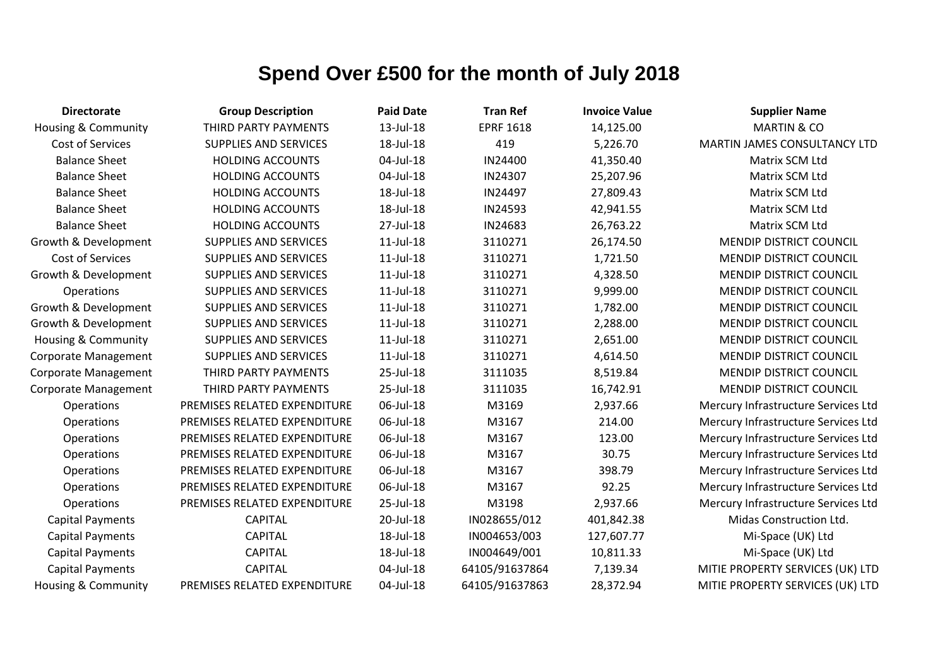| <b>Directorate</b>             | <b>Group Description</b>     | <b>Paid Date</b> | <b>Tran Ref</b>  | <b>Invoice Value</b> | <b>Supplier Name</b>                |
|--------------------------------|------------------------------|------------------|------------------|----------------------|-------------------------------------|
| <b>Housing &amp; Community</b> | THIRD PARTY PAYMENTS         | 13-Jul-18        | <b>EPRF 1618</b> | 14,125.00            | <b>MARTIN &amp; CO</b>              |
| Cost of Services               | <b>SUPPLIES AND SERVICES</b> | 18-Jul-18        | 419              | 5,226.70             | MARTIN JAMES CONSULTANCY LTD        |
| <b>Balance Sheet</b>           | <b>HOLDING ACCOUNTS</b>      | 04-Jul-18        | IN24400          | 41,350.40            | Matrix SCM Ltd                      |
| <b>Balance Sheet</b>           | <b>HOLDING ACCOUNTS</b>      | 04-Jul-18        | IN24307          | 25,207.96            | Matrix SCM Ltd                      |
| <b>Balance Sheet</b>           | <b>HOLDING ACCOUNTS</b>      | 18-Jul-18        | IN24497          | 27,809.43            | Matrix SCM Ltd                      |
| <b>Balance Sheet</b>           | <b>HOLDING ACCOUNTS</b>      | 18-Jul-18        | IN24593          | 42,941.55            | Matrix SCM Ltd                      |
| <b>Balance Sheet</b>           | <b>HOLDING ACCOUNTS</b>      | 27-Jul-18        | IN24683          | 26,763.22            | Matrix SCM Ltd                      |
| Growth & Development           | <b>SUPPLIES AND SERVICES</b> | $11$ -Jul- $18$  | 3110271          | 26,174.50            | <b>MENDIP DISTRICT COUNCIL</b>      |
| Cost of Services               | <b>SUPPLIES AND SERVICES</b> | $11$ -Jul- $18$  | 3110271          | 1,721.50             | MENDIP DISTRICT COUNCIL             |
| Growth & Development           | <b>SUPPLIES AND SERVICES</b> | $11$ -Jul- $18$  | 3110271          | 4,328.50             | <b>MENDIP DISTRICT COUNCIL</b>      |
| Operations                     | <b>SUPPLIES AND SERVICES</b> | 11-Jul-18        | 3110271          | 9,999.00             | <b>MENDIP DISTRICT COUNCIL</b>      |
| Growth & Development           | <b>SUPPLIES AND SERVICES</b> | $11$ -Jul- $18$  | 3110271          | 1,782.00             | <b>MENDIP DISTRICT COUNCIL</b>      |
| Growth & Development           | <b>SUPPLIES AND SERVICES</b> | $11$ -Jul- $18$  | 3110271          | 2,288.00             | <b>MENDIP DISTRICT COUNCIL</b>      |
| <b>Housing &amp; Community</b> | <b>SUPPLIES AND SERVICES</b> | $11$ -Jul- $18$  | 3110271          | 2,651.00             | MENDIP DISTRICT COUNCIL             |
| Corporate Management           | SUPPLIES AND SERVICES        | $11$ -Jul- $18$  | 3110271          | 4,614.50             | <b>MENDIP DISTRICT COUNCIL</b>      |
| Corporate Management           | THIRD PARTY PAYMENTS         | 25-Jul-18        | 3111035          | 8,519.84             | <b>MENDIP DISTRICT COUNCIL</b>      |
| <b>Corporate Management</b>    | THIRD PARTY PAYMENTS         | 25-Jul-18        | 3111035          | 16,742.91            | <b>MENDIP DISTRICT COUNCIL</b>      |
| Operations                     | PREMISES RELATED EXPENDITURE | 06-Jul-18        | M3169            | 2,937.66             | Mercury Infrastructure Services Ltd |
| Operations                     | PREMISES RELATED EXPENDITURE | 06-Jul-18        | M3167            | 214.00               | Mercury Infrastructure Services Ltd |
| Operations                     | PREMISES RELATED EXPENDITURE | 06-Jul-18        | M3167            | 123.00               | Mercury Infrastructure Services Ltd |
| Operations                     | PREMISES RELATED EXPENDITURE | 06-Jul-18        | M3167            | 30.75                | Mercury Infrastructure Services Ltd |
| Operations                     | PREMISES RELATED EXPENDITURE | 06-Jul-18        | M3167            | 398.79               | Mercury Infrastructure Services Ltd |
| Operations                     | PREMISES RELATED EXPENDITURE | 06-Jul-18        | M3167            | 92.25                | Mercury Infrastructure Services Ltd |
| Operations                     | PREMISES RELATED EXPENDITURE | 25-Jul-18        | M3198            | 2,937.66             | Mercury Infrastructure Services Ltd |
| <b>Capital Payments</b>        | <b>CAPITAL</b>               | 20-Jul-18        | IN028655/012     | 401,842.38           | Midas Construction Ltd.             |
| <b>Capital Payments</b>        | <b>CAPITAL</b>               | 18-Jul-18        | IN004653/003     | 127,607.77           | Mi-Space (UK) Ltd                   |
| <b>Capital Payments</b>        | <b>CAPITAL</b>               | 18-Jul-18        | IN004649/001     | 10,811.33            | Mi-Space (UK) Ltd                   |
| <b>Capital Payments</b>        | <b>CAPITAL</b>               | 04-Jul-18        | 64105/91637864   | 7,139.34             | MITIE PROPERTY SERVICES (UK) LTD    |
| <b>Housing &amp; Community</b> | PREMISES RELATED EXPENDITURE | 04-Jul-18        | 64105/91637863   | 28,372.94            | MITIE PROPERTY SERVICES (UK) LTD    |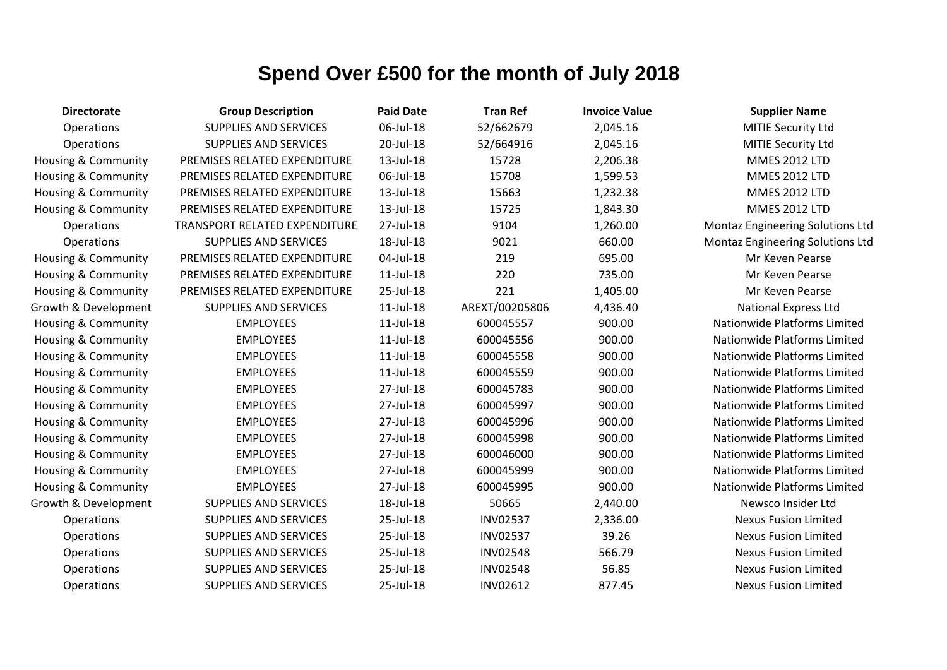| <b>Directorate</b>             | <b>Group Description</b>             | <b>Paid Date</b> | <b>Tran Ref</b> | <b>Invoice Value</b> | <b>Supplier Name</b>                    |
|--------------------------------|--------------------------------------|------------------|-----------------|----------------------|-----------------------------------------|
| Operations                     | <b>SUPPLIES AND SERVICES</b>         | 06-Jul-18        | 52/662679       | 2,045.16             | MITIE Security Ltd                      |
| Operations                     | SUPPLIES AND SERVICES                | 20-Jul-18        | 52/664916       | 2,045.16             | MITIE Security Ltd                      |
| <b>Housing &amp; Community</b> | PREMISES RELATED EXPENDITURE         | 13-Jul-18        | 15728           | 2,206.38             | <b>MMES 2012 LTD</b>                    |
| <b>Housing &amp; Community</b> | PREMISES RELATED EXPENDITURE         | 06-Jul-18        | 15708           | 1,599.53             | <b>MMES 2012 LTD</b>                    |
| Housing & Community            | PREMISES RELATED EXPENDITURE         | 13-Jul-18        | 15663           | 1,232.38             | <b>MMES 2012 LTD</b>                    |
| <b>Housing &amp; Community</b> | PREMISES RELATED EXPENDITURE         | 13-Jul-18        | 15725           | 1,843.30             | <b>MMES 2012 LTD</b>                    |
| Operations                     | <b>TRANSPORT RELATED EXPENDITURE</b> | 27-Jul-18        | 9104            | 1,260.00             | Montaz Engineering Solutions Ltd        |
| Operations                     | <b>SUPPLIES AND SERVICES</b>         | 18-Jul-18        | 9021            | 660.00               | <b>Montaz Engineering Solutions Ltd</b> |
| <b>Housing &amp; Community</b> | PREMISES RELATED EXPENDITURE         | 04-Jul-18        | 219             | 695.00               | Mr Keven Pearse                         |
| <b>Housing &amp; Community</b> | PREMISES RELATED EXPENDITURE         | $11$ -Jul- $18$  | 220             | 735.00               | Mr Keven Pearse                         |
| Housing & Community            | PREMISES RELATED EXPENDITURE         | 25-Jul-18        | 221             | 1,405.00             | Mr Keven Pearse                         |
| Growth & Development           | <b>SUPPLIES AND SERVICES</b>         | $11$ -Jul- $18$  | AREXT/00205806  | 4,436.40             | <b>National Express Ltd</b>             |
| <b>Housing &amp; Community</b> | <b>EMPLOYEES</b>                     | $11$ -Jul- $18$  | 600045557       | 900.00               | Nationwide Platforms Limited            |
| <b>Housing &amp; Community</b> | <b>EMPLOYEES</b>                     | $11$ -Jul- $18$  | 600045556       | 900.00               | Nationwide Platforms Limited            |
| <b>Housing &amp; Community</b> | <b>EMPLOYEES</b>                     | $11$ -Jul- $18$  | 600045558       | 900.00               | Nationwide Platforms Limited            |
| <b>Housing &amp; Community</b> | <b>EMPLOYEES</b>                     | $11$ -Jul- $18$  | 600045559       | 900.00               | <b>Nationwide Platforms Limited</b>     |
| <b>Housing &amp; Community</b> | <b>EMPLOYEES</b>                     | 27-Jul-18        | 600045783       | 900.00               | Nationwide Platforms Limited            |
| Housing & Community            | <b>EMPLOYEES</b>                     | 27-Jul-18        | 600045997       | 900.00               | Nationwide Platforms Limited            |
| <b>Housing &amp; Community</b> | <b>EMPLOYEES</b>                     | 27-Jul-18        | 600045996       | 900.00               | Nationwide Platforms Limited            |
| <b>Housing &amp; Community</b> | <b>EMPLOYEES</b>                     | 27-Jul-18        | 600045998       | 900.00               | Nationwide Platforms Limited            |
| <b>Housing &amp; Community</b> | <b>EMPLOYEES</b>                     | 27-Jul-18        | 600046000       | 900.00               | Nationwide Platforms Limited            |
| Housing & Community            | <b>EMPLOYEES</b>                     | 27-Jul-18        | 600045999       | 900.00               | <b>Nationwide Platforms Limited</b>     |
| Housing & Community            | <b>EMPLOYEES</b>                     | 27-Jul-18        | 600045995       | 900.00               | Nationwide Platforms Limited            |
| Growth & Development           | <b>SUPPLIES AND SERVICES</b>         | 18-Jul-18        | 50665           | 2,440.00             | Newsco Insider Ltd                      |
| Operations                     | SUPPLIES AND SERVICES                | 25-Jul-18        | <b>INV02537</b> | 2,336.00             | <b>Nexus Fusion Limited</b>             |
| Operations                     | SUPPLIES AND SERVICES                | 25-Jul-18        | <b>INV02537</b> | 39.26                | <b>Nexus Fusion Limited</b>             |
| Operations                     | <b>SUPPLIES AND SERVICES</b>         | 25-Jul-18        | <b>INV02548</b> | 566.79               | <b>Nexus Fusion Limited</b>             |
| Operations                     | <b>SUPPLIES AND SERVICES</b>         | 25-Jul-18        | <b>INV02548</b> | 56.85                | <b>Nexus Fusion Limited</b>             |
| Operations                     | <b>SUPPLIES AND SERVICES</b>         | 25-Jul-18        | <b>INV02612</b> | 877.45               | <b>Nexus Fusion Limited</b>             |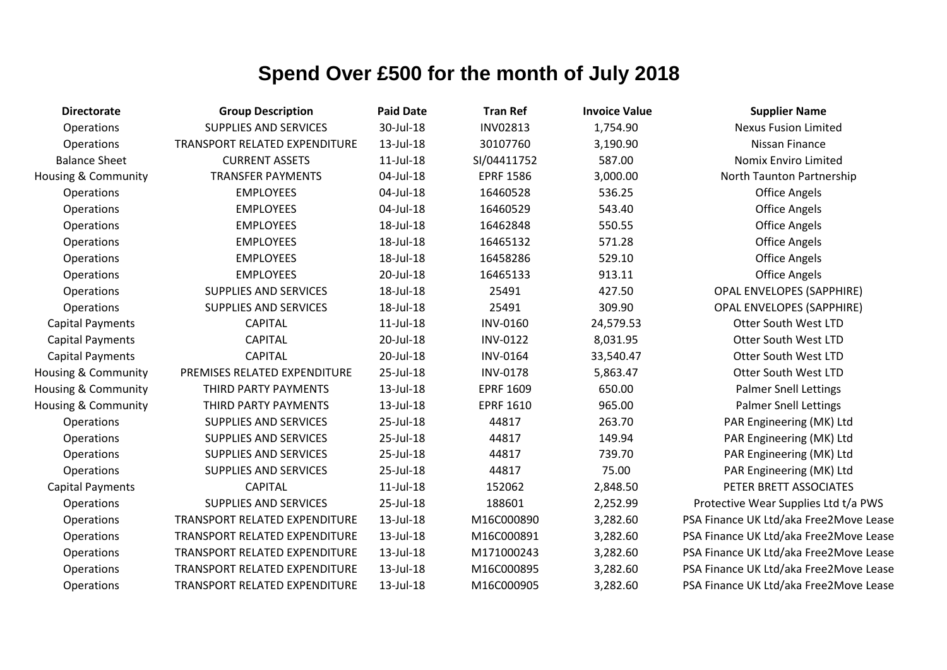| <b>Directorate</b>      | <b>Group Description</b>             | <b>Paid Date</b> | <b>Tran Ref</b>  | <b>Invoice Value</b> | <b>Supplier Name</b>                   |
|-------------------------|--------------------------------------|------------------|------------------|----------------------|----------------------------------------|
| Operations              | <b>SUPPLIES AND SERVICES</b>         | 30-Jul-18        | <b>INV02813</b>  | 1,754.90             | <b>Nexus Fusion Limited</b>            |
| Operations              | TRANSPORT RELATED EXPENDITURE        | 13-Jul-18        | 30107760         | 3,190.90             | Nissan Finance                         |
| <b>Balance Sheet</b>    | <b>CURRENT ASSETS</b>                | $11$ -Jul- $18$  | SI/04411752      | 587.00               | Nomix Enviro Limited                   |
| Housing & Community     | <b>TRANSFER PAYMENTS</b>             | 04-Jul-18        | <b>EPRF 1586</b> | 3,000.00             | North Taunton Partnership              |
| Operations              | <b>EMPLOYEES</b>                     | 04-Jul-18        | 16460528         | 536.25               | <b>Office Angels</b>                   |
| Operations              | <b>EMPLOYEES</b>                     | 04-Jul-18        | 16460529         | 543.40               | <b>Office Angels</b>                   |
| Operations              | <b>EMPLOYEES</b>                     | 18-Jul-18        | 16462848         | 550.55               | <b>Office Angels</b>                   |
| Operations              | <b>EMPLOYEES</b>                     | 18-Jul-18        | 16465132         | 571.28               | <b>Office Angels</b>                   |
| Operations              | <b>EMPLOYEES</b>                     | 18-Jul-18        | 16458286         | 529.10               | <b>Office Angels</b>                   |
| Operations              | <b>EMPLOYEES</b>                     | 20-Jul-18        | 16465133         | 913.11               | <b>Office Angels</b>                   |
| Operations              | SUPPLIES AND SERVICES                | 18-Jul-18        | 25491            | 427.50               | <b>OPAL ENVELOPES (SAPPHIRE)</b>       |
| Operations              | <b>SUPPLIES AND SERVICES</b>         | 18-Jul-18        | 25491            | 309.90               | <b>OPAL ENVELOPES (SAPPHIRE)</b>       |
| <b>Capital Payments</b> | <b>CAPITAL</b>                       | $11$ -Jul- $18$  | <b>INV-0160</b>  | 24,579.53            | <b>Otter South West LTD</b>            |
| <b>Capital Payments</b> | <b>CAPITAL</b>                       | 20-Jul-18        | <b>INV-0122</b>  | 8,031.95             | Otter South West LTD                   |
| <b>Capital Payments</b> | <b>CAPITAL</b>                       | 20-Jul-18        | <b>INV-0164</b>  | 33,540.47            | <b>Otter South West LTD</b>            |
| Housing & Community     | PREMISES RELATED EXPENDITURE         | 25-Jul-18        | <b>INV-0178</b>  | 5,863.47             | <b>Otter South West LTD</b>            |
| Housing & Community     | THIRD PARTY PAYMENTS                 | 13-Jul-18        | <b>EPRF 1609</b> | 650.00               | <b>Palmer Snell Lettings</b>           |
| Housing & Community     | THIRD PARTY PAYMENTS                 | 13-Jul-18        | <b>EPRF 1610</b> | 965.00               | <b>Palmer Snell Lettings</b>           |
| Operations              | SUPPLIES AND SERVICES                | 25-Jul-18        | 44817            | 263.70               | PAR Engineering (MK) Ltd               |
| Operations              | SUPPLIES AND SERVICES                | 25-Jul-18        | 44817            | 149.94               | PAR Engineering (MK) Ltd               |
| Operations              | SUPPLIES AND SERVICES                | 25-Jul-18        | 44817            | 739.70               | PAR Engineering (MK) Ltd               |
| Operations              | SUPPLIES AND SERVICES                | 25-Jul-18        | 44817            | 75.00                | PAR Engineering (MK) Ltd               |
| <b>Capital Payments</b> | <b>CAPITAL</b>                       | $11$ -Jul- $18$  | 152062           | 2,848.50             | PETER BRETT ASSOCIATES                 |
| Operations              | <b>SUPPLIES AND SERVICES</b>         | 25-Jul-18        | 188601           | 2,252.99             | Protective Wear Supplies Ltd t/a PWS   |
| Operations              | TRANSPORT RELATED EXPENDITURE        | 13-Jul-18        | M16C000890       | 3,282.60             | PSA Finance UK Ltd/aka Free2Move Lease |
| Operations              | TRANSPORT RELATED EXPENDITURE        | 13-Jul-18        | M16C000891       | 3,282.60             | PSA Finance UK Ltd/aka Free2Move Lease |
| Operations              | <b>TRANSPORT RELATED EXPENDITURE</b> | 13-Jul-18        | M171000243       | 3,282.60             | PSA Finance UK Ltd/aka Free2Move Lease |
| Operations              | TRANSPORT RELATED EXPENDITURE        | 13-Jul-18        | M16C000895       | 3,282.60             | PSA Finance UK Ltd/aka Free2Move Lease |
| Operations              | <b>TRANSPORT RELATED EXPENDITURE</b> | 13-Jul-18        | M16C000905       | 3,282.60             | PSA Finance UK Ltd/aka Free2Move Lease |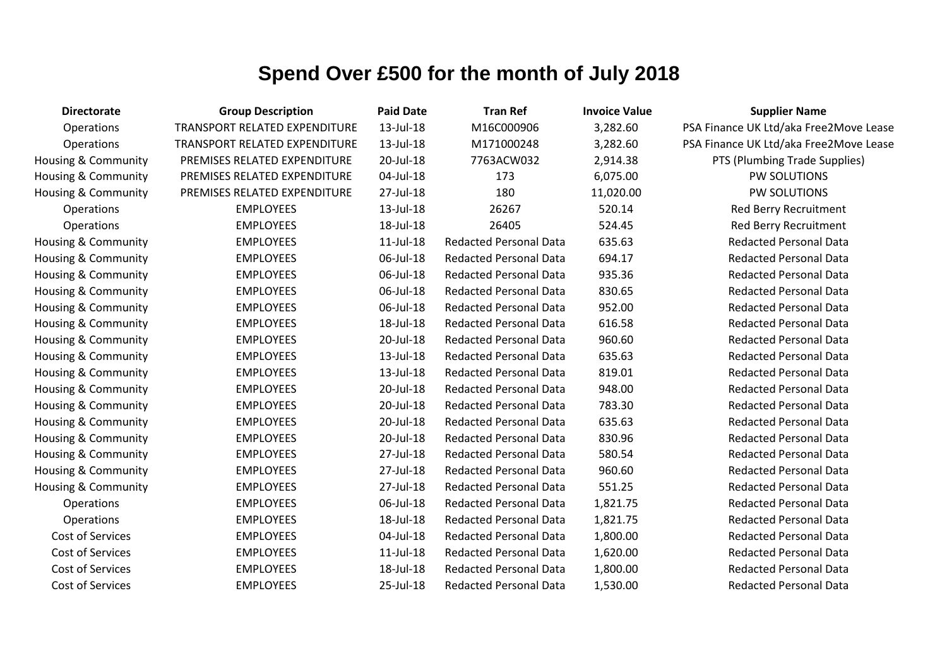| <b>Directorate</b>             | <b>Group Description</b>      | <b>Paid Date</b> | <b>Tran Ref</b>               | <b>Invoice Value</b> | <b>Supplier Name</b>                   |
|--------------------------------|-------------------------------|------------------|-------------------------------|----------------------|----------------------------------------|
| Operations                     | TRANSPORT RELATED EXPENDITURE | 13-Jul-18        | M16C000906                    | 3,282.60             | PSA Finance UK Ltd/aka Free2Move Lease |
| Operations                     | TRANSPORT RELATED EXPENDITURE | 13-Jul-18        | M171000248                    | 3,282.60             | PSA Finance UK Ltd/aka Free2Move Lease |
| <b>Housing &amp; Community</b> | PREMISES RELATED EXPENDITURE  | 20-Jul-18        | 7763ACW032                    | 2,914.38             | PTS (Plumbing Trade Supplies)          |
| <b>Housing &amp; Community</b> | PREMISES RELATED EXPENDITURE  | 04-Jul-18        | 173                           | 6,075.00             | PW SOLUTIONS                           |
| Housing & Community            | PREMISES RELATED EXPENDITURE  | 27-Jul-18        | 180                           | 11,020.00            | PW SOLUTIONS                           |
| Operations                     | <b>EMPLOYEES</b>              | 13-Jul-18        | 26267                         | 520.14               | Red Berry Recruitment                  |
| Operations                     | <b>EMPLOYEES</b>              | 18-Jul-18        | 26405                         | 524.45               | Red Berry Recruitment                  |
| <b>Housing &amp; Community</b> | <b>EMPLOYEES</b>              | $11$ -Jul- $18$  | <b>Redacted Personal Data</b> | 635.63               | <b>Redacted Personal Data</b>          |
| Housing & Community            | <b>EMPLOYEES</b>              | 06-Jul-18        | <b>Redacted Personal Data</b> | 694.17               | <b>Redacted Personal Data</b>          |
| <b>Housing &amp; Community</b> | <b>EMPLOYEES</b>              | 06-Jul-18        | <b>Redacted Personal Data</b> | 935.36               | <b>Redacted Personal Data</b>          |
| Housing & Community            | <b>EMPLOYEES</b>              | 06-Jul-18        | <b>Redacted Personal Data</b> | 830.65               | <b>Redacted Personal Data</b>          |
| Housing & Community            | <b>EMPLOYEES</b>              | 06-Jul-18        | <b>Redacted Personal Data</b> | 952.00               | <b>Redacted Personal Data</b>          |
| Housing & Community            | <b>EMPLOYEES</b>              | 18-Jul-18        | <b>Redacted Personal Data</b> | 616.58               | <b>Redacted Personal Data</b>          |
| Housing & Community            | <b>EMPLOYEES</b>              | 20-Jul-18        | <b>Redacted Personal Data</b> | 960.60               | <b>Redacted Personal Data</b>          |
| Housing & Community            | <b>EMPLOYEES</b>              | 13-Jul-18        | <b>Redacted Personal Data</b> | 635.63               | <b>Redacted Personal Data</b>          |
| <b>Housing &amp; Community</b> | <b>EMPLOYEES</b>              | 13-Jul-18        | <b>Redacted Personal Data</b> | 819.01               | <b>Redacted Personal Data</b>          |
| Housing & Community            | <b>EMPLOYEES</b>              | 20-Jul-18        | <b>Redacted Personal Data</b> | 948.00               | <b>Redacted Personal Data</b>          |
| <b>Housing &amp; Community</b> | <b>EMPLOYEES</b>              | 20-Jul-18        | <b>Redacted Personal Data</b> | 783.30               | <b>Redacted Personal Data</b>          |
| Housing & Community            | <b>EMPLOYEES</b>              | 20-Jul-18        | <b>Redacted Personal Data</b> | 635.63               | <b>Redacted Personal Data</b>          |
| Housing & Community            | <b>EMPLOYEES</b>              | 20-Jul-18        | <b>Redacted Personal Data</b> | 830.96               | <b>Redacted Personal Data</b>          |
| Housing & Community            | <b>EMPLOYEES</b>              | 27-Jul-18        | <b>Redacted Personal Data</b> | 580.54               | <b>Redacted Personal Data</b>          |
| Housing & Community            | <b>EMPLOYEES</b>              | 27-Jul-18        | <b>Redacted Personal Data</b> | 960.60               | <b>Redacted Personal Data</b>          |
| Housing & Community            | <b>EMPLOYEES</b>              | 27-Jul-18        | <b>Redacted Personal Data</b> | 551.25               | <b>Redacted Personal Data</b>          |
| Operations                     | <b>EMPLOYEES</b>              | 06-Jul-18        | <b>Redacted Personal Data</b> | 1,821.75             | <b>Redacted Personal Data</b>          |
| Operations                     | <b>EMPLOYEES</b>              | 18-Jul-18        | <b>Redacted Personal Data</b> | 1,821.75             | <b>Redacted Personal Data</b>          |
| Cost of Services               | <b>EMPLOYEES</b>              | 04-Jul-18        | <b>Redacted Personal Data</b> | 1,800.00             | <b>Redacted Personal Data</b>          |
| Cost of Services               | <b>EMPLOYEES</b>              | $11$ -Jul- $18$  | <b>Redacted Personal Data</b> | 1,620.00             | <b>Redacted Personal Data</b>          |
| Cost of Services               | <b>EMPLOYEES</b>              | 18-Jul-18        | <b>Redacted Personal Data</b> | 1,800.00             | <b>Redacted Personal Data</b>          |
| Cost of Services               | <b>EMPLOYEES</b>              | 25-Jul-18        | <b>Redacted Personal Data</b> | 1,530.00             | <b>Redacted Personal Data</b>          |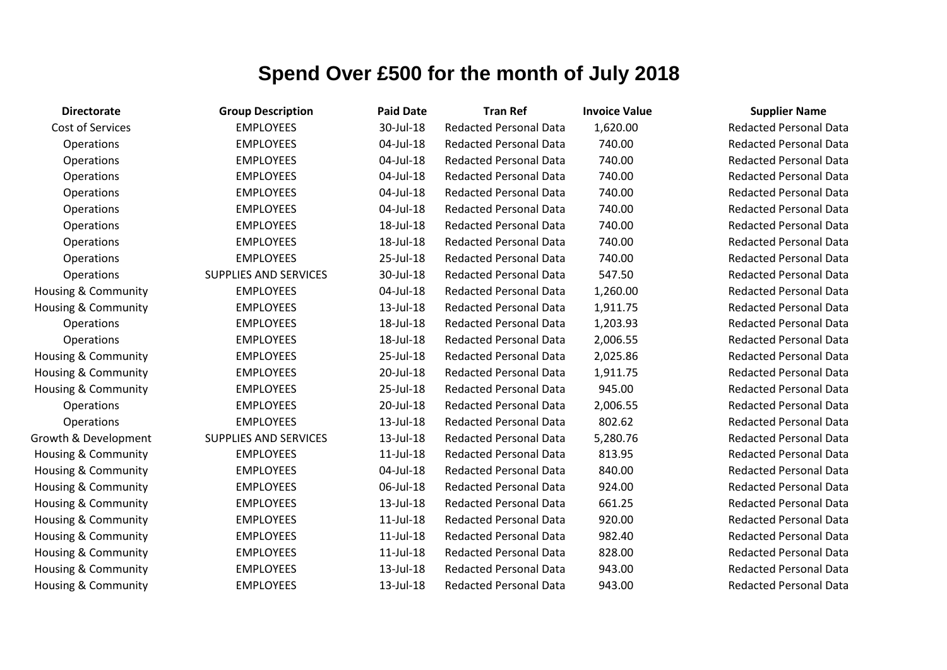| <b>Directorate</b>             | <b>Group Description</b>     | <b>Paid Date</b> | <b>Tran Ref</b>               | <b>Invoice Value</b> | <b>Supplier Name</b>     |
|--------------------------------|------------------------------|------------------|-------------------------------|----------------------|--------------------------|
| Cost of Services               | <b>EMPLOYEES</b>             | 30-Jul-18        | <b>Redacted Personal Data</b> | 1,620.00             | <b>Redacted Personal</b> |
| Operations                     | <b>EMPLOYEES</b>             | 04-Jul-18        | <b>Redacted Personal Data</b> | 740.00               | <b>Redacted Personal</b> |
| Operations                     | <b>EMPLOYEES</b>             | 04-Jul-18        | <b>Redacted Personal Data</b> | 740.00               | <b>Redacted Personal</b> |
| Operations                     | <b>EMPLOYEES</b>             | 04-Jul-18        | <b>Redacted Personal Data</b> | 740.00               | <b>Redacted Personal</b> |
| Operations                     | <b>EMPLOYEES</b>             | 04-Jul-18        | <b>Redacted Personal Data</b> | 740.00               | <b>Redacted Personal</b> |
| Operations                     | <b>EMPLOYEES</b>             | 04-Jul-18        | <b>Redacted Personal Data</b> | 740.00               | <b>Redacted Personal</b> |
| Operations                     | <b>EMPLOYEES</b>             | 18-Jul-18        | <b>Redacted Personal Data</b> | 740.00               | <b>Redacted Personal</b> |
| Operations                     | <b>EMPLOYEES</b>             | 18-Jul-18        | <b>Redacted Personal Data</b> | 740.00               | <b>Redacted Personal</b> |
| Operations                     | <b>EMPLOYEES</b>             | 25-Jul-18        | <b>Redacted Personal Data</b> | 740.00               | <b>Redacted Personal</b> |
| Operations                     | <b>SUPPLIES AND SERVICES</b> | 30-Jul-18        | <b>Redacted Personal Data</b> | 547.50               | <b>Redacted Personal</b> |
| Housing & Community            | <b>EMPLOYEES</b>             | 04-Jul-18        | <b>Redacted Personal Data</b> | 1,260.00             | <b>Redacted Personal</b> |
| Housing & Community            | <b>EMPLOYEES</b>             | 13-Jul-18        | <b>Redacted Personal Data</b> | 1,911.75             | <b>Redacted Personal</b> |
| Operations                     | <b>EMPLOYEES</b>             | 18-Jul-18        | <b>Redacted Personal Data</b> | 1,203.93             | <b>Redacted Personal</b> |
| Operations                     | <b>EMPLOYEES</b>             | 18-Jul-18        | <b>Redacted Personal Data</b> | 2,006.55             | <b>Redacted Personal</b> |
| <b>Housing &amp; Community</b> | <b>EMPLOYEES</b>             | 25-Jul-18        | <b>Redacted Personal Data</b> | 2,025.86             | <b>Redacted Personal</b> |
| Housing & Community            | <b>EMPLOYEES</b>             | 20-Jul-18        | <b>Redacted Personal Data</b> | 1,911.75             | <b>Redacted Personal</b> |
| Housing & Community            | <b>EMPLOYEES</b>             | 25-Jul-18        | <b>Redacted Personal Data</b> | 945.00               | <b>Redacted Personal</b> |
| Operations                     | <b>EMPLOYEES</b>             | 20-Jul-18        | <b>Redacted Personal Data</b> | 2,006.55             | <b>Redacted Personal</b> |
| Operations                     | <b>EMPLOYEES</b>             | 13-Jul-18        | <b>Redacted Personal Data</b> | 802.62               | <b>Redacted Personal</b> |
| Growth & Development           | <b>SUPPLIES AND SERVICES</b> | 13-Jul-18        | <b>Redacted Personal Data</b> | 5,280.76             | <b>Redacted Personal</b> |
| Housing & Community            | <b>EMPLOYEES</b>             | $11$ -Jul- $18$  | <b>Redacted Personal Data</b> | 813.95               | <b>Redacted Personal</b> |
| Housing & Community            | <b>EMPLOYEES</b>             | 04-Jul-18        | <b>Redacted Personal Data</b> | 840.00               | <b>Redacted Personal</b> |
| Housing & Community            | <b>EMPLOYEES</b>             | 06-Jul-18        | <b>Redacted Personal Data</b> | 924.00               | <b>Redacted Personal</b> |
| Housing & Community            | <b>EMPLOYEES</b>             | 13-Jul-18        | <b>Redacted Personal Data</b> | 661.25               | <b>Redacted Personal</b> |
| <b>Housing &amp; Community</b> | <b>EMPLOYEES</b>             | $11$ -Jul- $18$  | <b>Redacted Personal Data</b> | 920.00               | <b>Redacted Personal</b> |
| Housing & Community            | <b>EMPLOYEES</b>             | $11$ -Jul- $18$  | <b>Redacted Personal Data</b> | 982.40               | <b>Redacted Personal</b> |
| Housing & Community            | <b>EMPLOYEES</b>             | 11-Jul-18        | <b>Redacted Personal Data</b> | 828.00               | <b>Redacted Personal</b> |
| Housing & Community            | <b>EMPLOYEES</b>             | 13-Jul-18        | <b>Redacted Personal Data</b> | 943.00               | <b>Redacted Personal</b> |
| Housing & Community            | <b>EMPLOYEES</b>             | 13-Jul-18        | <b>Redacted Personal Data</b> | 943.00               | <b>Redacted Personal</b> |

Redacted Personal Data **Redacted Personal Data** Redacted Personal Data Redacted Personal Data **Redacted Personal Data Redacted Personal Data Redacted Personal Data Redacted Personal Data Redacted Personal Data Redacted Personal Data** Redacted Personal Data Redacted Personal Data **Redacted Personal Data Redacted Personal Data** Redacted Personal Data Redacted Personal Data Redacted Personal Data **Redacted Personal Data Redacted Personal Data Redacted Personal Data** Redacted Personal Data Redacted Personal Data Redacted Personal Data Redacted Personal Data Redacted Personal Data Redacted Personal Data Redacted Personal Data Redacted Personal Data Redacted Personal Data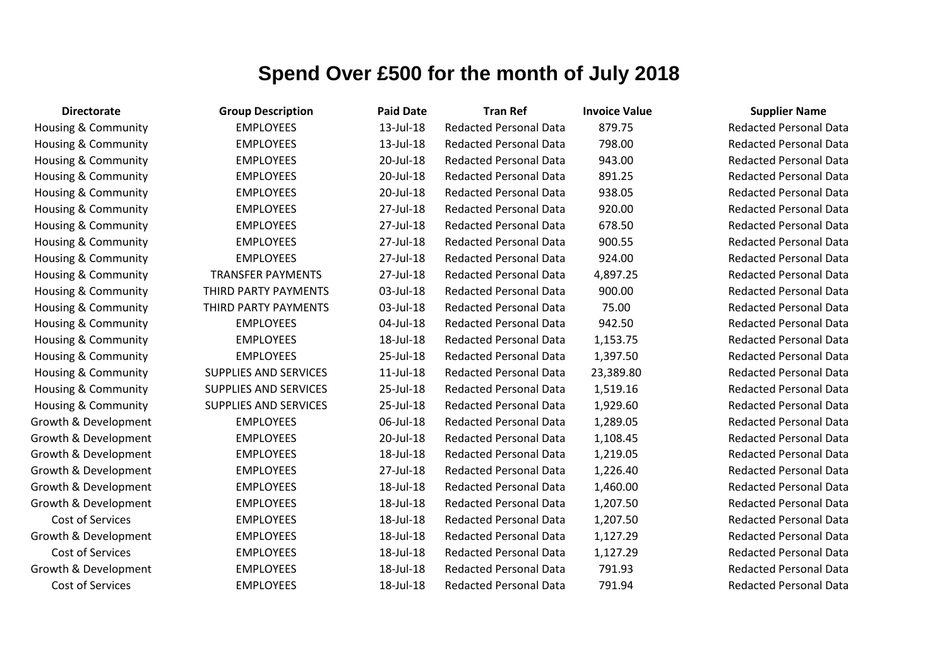| <b>Directorate</b>             | <b>Group Description</b>     | <b>Paid Date</b> | <b>Tran Ref</b>               | <b>Invoice Value</b> | <b>Supplier Name</b>     |
|--------------------------------|------------------------------|------------------|-------------------------------|----------------------|--------------------------|
| Housing & Community            | <b>EMPLOYEES</b>             | 13-Jul-18        | <b>Redacted Personal Data</b> | 879.75               | <b>Redacted Personal</b> |
| <b>Housing &amp; Community</b> | <b>EMPLOYEES</b>             | 13-Jul-18        | <b>Redacted Personal Data</b> | 798.00               | <b>Redacted Personal</b> |
| <b>Housing &amp; Community</b> | <b>EMPLOYEES</b>             | 20-Jul-18        | Redacted Personal Data        | 943.00               | <b>Redacted Personal</b> |
| Housing & Community            | <b>EMPLOYEES</b>             | 20-Jul-18        | <b>Redacted Personal Data</b> | 891.25               | <b>Redacted Personal</b> |
| <b>Housing &amp; Community</b> | <b>EMPLOYEES</b>             | 20-Jul-18        | <b>Redacted Personal Data</b> | 938.05               | <b>Redacted Personal</b> |
| <b>Housing &amp; Community</b> | <b>EMPLOYEES</b>             | 27-Jul-18        | <b>Redacted Personal Data</b> | 920.00               | <b>Redacted Personal</b> |
| Housing & Community            | <b>EMPLOYEES</b>             | 27-Jul-18        | <b>Redacted Personal Data</b> | 678.50               | <b>Redacted Personal</b> |
| <b>Housing &amp; Community</b> | <b>EMPLOYEES</b>             | 27-Jul-18        | <b>Redacted Personal Data</b> | 900.55               | <b>Redacted Personal</b> |
| <b>Housing &amp; Community</b> | <b>EMPLOYEES</b>             | 27-Jul-18        | <b>Redacted Personal Data</b> | 924.00               | <b>Redacted Personal</b> |
| <b>Housing &amp; Community</b> | <b>TRANSFER PAYMENTS</b>     | 27-Jul-18        | <b>Redacted Personal Data</b> | 4,897.25             | <b>Redacted Personal</b> |
| <b>Housing &amp; Community</b> | THIRD PARTY PAYMENTS         | 03-Jul-18        | <b>Redacted Personal Data</b> | 900.00               | <b>Redacted Personal</b> |
| Housing & Community            | THIRD PARTY PAYMENTS         | 03-Jul-18        | <b>Redacted Personal Data</b> | 75.00                | <b>Redacted Personal</b> |
| Housing & Community            | <b>EMPLOYEES</b>             | 04-Jul-18        | <b>Redacted Personal Data</b> | 942.50               | <b>Redacted Personal</b> |
| <b>Housing &amp; Community</b> | <b>EMPLOYEES</b>             | 18-Jul-18        | <b>Redacted Personal Data</b> | 1,153.75             | <b>Redacted Personal</b> |
| <b>Housing &amp; Community</b> | <b>EMPLOYEES</b>             | 25-Jul-18        | <b>Redacted Personal Data</b> | 1,397.50             | <b>Redacted Personal</b> |
| <b>Housing &amp; Community</b> | <b>SUPPLIES AND SERVICES</b> | $11$ -Jul- $18$  | <b>Redacted Personal Data</b> | 23,389.80            | <b>Redacted Personal</b> |
| <b>Housing &amp; Community</b> | <b>SUPPLIES AND SERVICES</b> | 25-Jul-18        | <b>Redacted Personal Data</b> | 1,519.16             | <b>Redacted Personal</b> |
| <b>Housing &amp; Community</b> | <b>SUPPLIES AND SERVICES</b> | 25-Jul-18        | <b>Redacted Personal Data</b> | 1,929.60             | <b>Redacted Personal</b> |
| Growth & Development           | <b>EMPLOYEES</b>             | 06-Jul-18        | <b>Redacted Personal Data</b> | 1,289.05             | <b>Redacted Personal</b> |
| Growth & Development           | <b>EMPLOYEES</b>             | 20-Jul-18        | <b>Redacted Personal Data</b> | 1,108.45             | <b>Redacted Personal</b> |
| Growth & Development           | <b>EMPLOYEES</b>             | 18-Jul-18        | <b>Redacted Personal Data</b> | 1,219.05             | <b>Redacted Personal</b> |
| Growth & Development           | <b>EMPLOYEES</b>             | 27-Jul-18        | <b>Redacted Personal Data</b> | 1,226.40             | <b>Redacted Personal</b> |
| Growth & Development           | <b>EMPLOYEES</b>             | 18-Jul-18        | Redacted Personal Data        | 1,460.00             | <b>Redacted Personal</b> |
| Growth & Development           | <b>EMPLOYEES</b>             | 18-Jul-18        | <b>Redacted Personal Data</b> | 1,207.50             | <b>Redacted Personal</b> |
| Cost of Services               | <b>EMPLOYEES</b>             | 18-Jul-18        | <b>Redacted Personal Data</b> | 1,207.50             | <b>Redacted Personal</b> |
| Growth & Development           | <b>EMPLOYEES</b>             | 18-Jul-18        | <b>Redacted Personal Data</b> | 1,127.29             | <b>Redacted Personal</b> |
| Cost of Services               | <b>EMPLOYEES</b>             | 18-Jul-18        | <b>Redacted Personal Data</b> | 1,127.29             | <b>Redacted Personal</b> |
| Growth & Development           | <b>EMPLOYEES</b>             | 18-Jul-18        | <b>Redacted Personal Data</b> | 791.93               | <b>Redacted Personal</b> |
| <b>Cost of Services</b>        | <b>EMPLOYEES</b>             | 18-Jul-18        | <b>Redacted Personal Data</b> | 791.94               | <b>Redacted Personal</b> |

Redacted Personal Data Redacted Personal Data Redacted Personal Data Redacted Personal Data Redacted Personal Data Redacted Personal Data Redacted Personal Data **Redacted Personal Data** Redacted Personal Data Redacted Personal Data Redacted Personal Data Redacted Personal Data Redacted Personal Data Redacted Personal Data Redacted Personal Data **Bedacted Personal Data Redacted Personal Data Redacted Personal Data Bedacted Personal Data Redacted Personal Data Redacted Personal Data** Redacted Personal Data **Redacted Personal Data** Redacted Personal Data Redacted Personal Data **Redacted Personal Data** 

**Redacted Personal Data** 

Redacted Personal Data Redacted Personal Data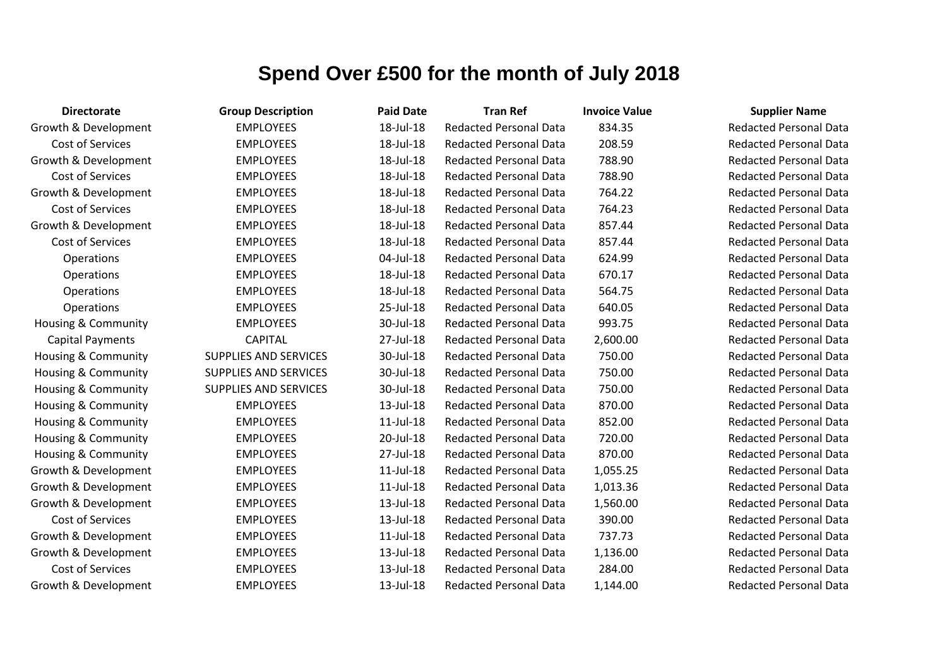| <b>Directorate</b>      | <b>Group Description</b>     | <b>Paid Date</b> | <b>Tran Ref</b>               | <b>Invoice Value</b> | <b>Supplier Name</b>     |
|-------------------------|------------------------------|------------------|-------------------------------|----------------------|--------------------------|
| Growth & Development    | <b>EMPLOYEES</b>             | 18-Jul-18        | <b>Redacted Personal Data</b> | 834.35               | <b>Redacted Personal</b> |
| Cost of Services        | <b>EMPLOYEES</b>             | 18-Jul-18        | <b>Redacted Personal Data</b> | 208.59               | <b>Redacted Personal</b> |
| Growth & Development    | <b>EMPLOYEES</b>             | 18-Jul-18        | <b>Redacted Personal Data</b> | 788.90               | <b>Redacted Personal</b> |
| Cost of Services        | <b>EMPLOYEES</b>             | 18-Jul-18        | <b>Redacted Personal Data</b> | 788.90               | <b>Redacted Personal</b> |
| Growth & Development    | <b>EMPLOYEES</b>             | 18-Jul-18        | <b>Redacted Personal Data</b> | 764.22               | <b>Redacted Personal</b> |
| Cost of Services        | <b>EMPLOYEES</b>             | 18-Jul-18        | <b>Redacted Personal Data</b> | 764.23               | <b>Redacted Personal</b> |
| Growth & Development    | <b>EMPLOYEES</b>             | 18-Jul-18        | <b>Redacted Personal Data</b> | 857.44               | <b>Redacted Personal</b> |
| Cost of Services        | <b>EMPLOYEES</b>             | 18-Jul-18        | <b>Redacted Personal Data</b> | 857.44               | <b>Redacted Personal</b> |
| Operations              | <b>EMPLOYEES</b>             | 04-Jul-18        | <b>Redacted Personal Data</b> | 624.99               | <b>Redacted Personal</b> |
| Operations              | <b>EMPLOYEES</b>             | 18-Jul-18        | <b>Redacted Personal Data</b> | 670.17               | <b>Redacted Personal</b> |
| Operations              | <b>EMPLOYEES</b>             | 18-Jul-18        | <b>Redacted Personal Data</b> | 564.75               | <b>Redacted Personal</b> |
| Operations              | <b>EMPLOYEES</b>             | 25-Jul-18        | <b>Redacted Personal Data</b> | 640.05               | <b>Redacted Personal</b> |
| Housing & Community     | <b>EMPLOYEES</b>             | 30-Jul-18        | <b>Redacted Personal Data</b> | 993.75               | <b>Redacted Personal</b> |
| <b>Capital Payments</b> | <b>CAPITAL</b>               | 27-Jul-18        | <b>Redacted Personal Data</b> | 2,600.00             | <b>Redacted Personal</b> |
| Housing & Community     | <b>SUPPLIES AND SERVICES</b> | 30-Jul-18        | <b>Redacted Personal Data</b> | 750.00               | <b>Redacted Personal</b> |
| Housing & Community     | <b>SUPPLIES AND SERVICES</b> | 30-Jul-18        | <b>Redacted Personal Data</b> | 750.00               | <b>Redacted Personal</b> |
| Housing & Community     | <b>SUPPLIES AND SERVICES</b> | 30-Jul-18        | <b>Redacted Personal Data</b> | 750.00               | <b>Redacted Personal</b> |
| Housing & Community     | <b>EMPLOYEES</b>             | 13-Jul-18        | <b>Redacted Personal Data</b> | 870.00               | <b>Redacted Personal</b> |
| Housing & Community     | <b>EMPLOYEES</b>             | $11$ -Jul- $18$  | <b>Redacted Personal Data</b> | 852.00               | <b>Redacted Personal</b> |
| Housing & Community     | <b>EMPLOYEES</b>             | 20-Jul-18        | <b>Redacted Personal Data</b> | 720.00               | <b>Redacted Personal</b> |
| Housing & Community     | <b>EMPLOYEES</b>             | 27-Jul-18        | <b>Redacted Personal Data</b> | 870.00               | <b>Redacted Personal</b> |
| Growth & Development    | <b>EMPLOYEES</b>             | $11$ -Jul- $18$  | <b>Redacted Personal Data</b> | 1,055.25             | <b>Redacted Personal</b> |
| Growth & Development    | <b>EMPLOYEES</b>             | $11$ -Jul- $18$  | <b>Redacted Personal Data</b> | 1,013.36             | <b>Redacted Personal</b> |
| Growth & Development    | <b>EMPLOYEES</b>             | 13-Jul-18        | <b>Redacted Personal Data</b> | 1,560.00             | <b>Redacted Personal</b> |
| Cost of Services        | <b>EMPLOYEES</b>             | 13-Jul-18        | <b>Redacted Personal Data</b> | 390.00               | <b>Redacted Personal</b> |
| Growth & Development    | <b>EMPLOYEES</b>             | $11$ -Jul- $18$  | <b>Redacted Personal Data</b> | 737.73               | <b>Redacted Personal</b> |
| Growth & Development    | <b>EMPLOYEES</b>             | 13-Jul-18        | <b>Redacted Personal Data</b> | 1,136.00             | <b>Redacted Personal</b> |
| <b>Cost of Services</b> | <b>EMPLOYEES</b>             | 13-Jul-18        | <b>Redacted Personal Data</b> | 284.00               | <b>Redacted Personal</b> |
| Growth & Development    | <b>EMPLOYEES</b>             | 13-Jul-18        | <b>Redacted Personal Data</b> | 1,144.00             | <b>Redacted Personal</b> |

**Redacted Personal Data Redacted Personal Data** Redacted Personal Data Redacted Personal Data **Redacted Personal Data Redacted Personal Data Redacted Personal Data Redacted Personal Data Redacted Personal Data Redacted Personal Data Redacted Personal Data Redacted Personal Data** Redacted Personal Data Redacted Personal Data Redacted Personal Data Redacted Personal Data Redacted Personal Data Redacted Personal Data Redacted Personal Data Redacted Personal Data Redacted Personal Data **Redacted Personal Data Redacted Personal Data** Redacted Personal Data **Redacted Personal Data** Redacted Personal Data **Redacted Personal Data** Redacted Personal Data **Redacted Personal Data**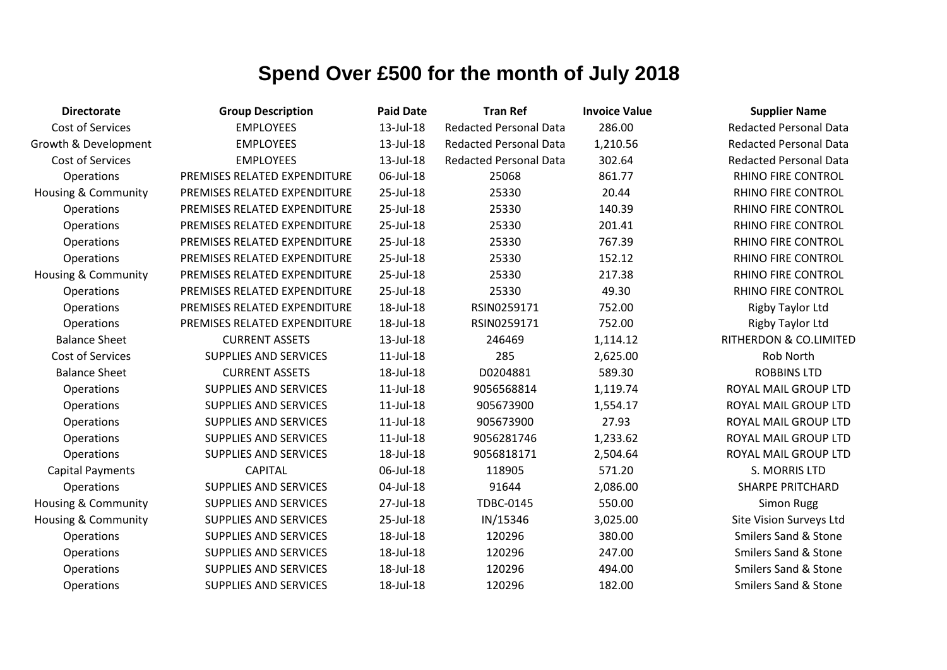| <b>Directorate</b>             | <b>Group Description</b>     | <b>Paid Date</b> | <b>Tran Ref</b>               | <b>Invoice Value</b> | <b>Supplier Name</b>            |
|--------------------------------|------------------------------|------------------|-------------------------------|----------------------|---------------------------------|
| <b>Cost of Services</b>        | <b>EMPLOYEES</b>             | 13-Jul-18        | <b>Redacted Personal Data</b> | 286.00               | <b>Redacted Personal Data</b>   |
| Growth & Development           | <b>EMPLOYEES</b>             | 13-Jul-18        | <b>Redacted Personal Data</b> | 1,210.56             | <b>Redacted Personal Data</b>   |
| Cost of Services               | <b>EMPLOYEES</b>             | 13-Jul-18        | <b>Redacted Personal Data</b> | 302.64               | <b>Redacted Personal Data</b>   |
| Operations                     | PREMISES RELATED EXPENDITURE | 06-Jul-18        | 25068                         | 861.77               | <b>RHINO FIRE CONTROL</b>       |
| Housing & Community            | PREMISES RELATED EXPENDITURE | 25-Jul-18        | 25330                         | 20.44                | RHINO FIRE CONTROL              |
| Operations                     | PREMISES RELATED EXPENDITURE | 25-Jul-18        | 25330                         | 140.39               | RHINO FIRE CONTROL              |
| Operations                     | PREMISES RELATED EXPENDITURE | 25-Jul-18        | 25330                         | 201.41               | RHINO FIRE CONTROL              |
| Operations                     | PREMISES RELATED EXPENDITURE | 25-Jul-18        | 25330                         | 767.39               | RHINO FIRE CONTROL              |
| Operations                     | PREMISES RELATED EXPENDITURE | 25-Jul-18        | 25330                         | 152.12               | RHINO FIRE CONTROL              |
| Housing & Community            | PREMISES RELATED EXPENDITURE | 25-Jul-18        | 25330                         | 217.38               | RHINO FIRE CONTROL              |
| Operations                     | PREMISES RELATED EXPENDITURE | 25-Jul-18        | 25330                         | 49.30                | RHINO FIRE CONTROL              |
| Operations                     | PREMISES RELATED EXPENDITURE | 18-Jul-18        | RSIN0259171                   | 752.00               | <b>Rigby Taylor Ltd</b>         |
| Operations                     | PREMISES RELATED EXPENDITURE | 18-Jul-18        | RSIN0259171                   | 752.00               | Rigby Taylor Ltd                |
| <b>Balance Sheet</b>           | <b>CURRENT ASSETS</b>        | 13-Jul-18        | 246469                        | 1,114.12             | RITHERDON & CO.LIMITED          |
| <b>Cost of Services</b>        | <b>SUPPLIES AND SERVICES</b> | 11-Jul-18        | 285                           | 2,625.00             | Rob North                       |
| <b>Balance Sheet</b>           | <b>CURRENT ASSETS</b>        | 18-Jul-18        | D0204881                      | 589.30               | <b>ROBBINS LTD</b>              |
| Operations                     | <b>SUPPLIES AND SERVICES</b> | $11$ -Jul- $18$  | 9056568814                    | 1,119.74             | ROYAL MAIL GROUP LTD            |
| Operations                     | SUPPLIES AND SERVICES        | $11$ -Jul- $18$  | 905673900                     | 1,554.17             | ROYAL MAIL GROUP LTD            |
| Operations                     | <b>SUPPLIES AND SERVICES</b> | 11-Jul-18        | 905673900                     | 27.93                | ROYAL MAIL GROUP LTD            |
| Operations                     | <b>SUPPLIES AND SERVICES</b> | $11$ -Jul- $18$  | 9056281746                    | 1,233.62             | ROYAL MAIL GROUP LTD            |
| Operations                     | <b>SUPPLIES AND SERVICES</b> | 18-Jul-18        | 9056818171                    | 2,504.64             | ROYAL MAIL GROUP LTD            |
| <b>Capital Payments</b>        | <b>CAPITAL</b>               | 06-Jul-18        | 118905                        | 571.20               | S. MORRIS LTD                   |
| Operations                     | <b>SUPPLIES AND SERVICES</b> | 04-Jul-18        | 91644                         | 2,086.00             | <b>SHARPE PRITCHARD</b>         |
| <b>Housing &amp; Community</b> | <b>SUPPLIES AND SERVICES</b> | 27-Jul-18        | TDBC-0145                     | 550.00               | <b>Simon Rugg</b>               |
| <b>Housing &amp; Community</b> | <b>SUPPLIES AND SERVICES</b> | 25-Jul-18        | IN/15346                      | 3,025.00             | Site Vision Surveys Ltd         |
| Operations                     | <b>SUPPLIES AND SERVICES</b> | 18-Jul-18        | 120296                        | 380.00               | <b>Smilers Sand &amp; Stone</b> |
| Operations                     | <b>SUPPLIES AND SERVICES</b> | 18-Jul-18        | 120296                        | 247.00               | <b>Smilers Sand &amp; Stone</b> |
| Operations                     | <b>SUPPLIES AND SERVICES</b> | 18-Jul-18        | 120296                        | 494.00               | <b>Smilers Sand &amp; Stone</b> |
| Operations                     | <b>SUPPLIES AND SERVICES</b> | 18-Jul-18        | 120296                        | 182.00               | <b>Smilers Sand &amp; Stone</b> |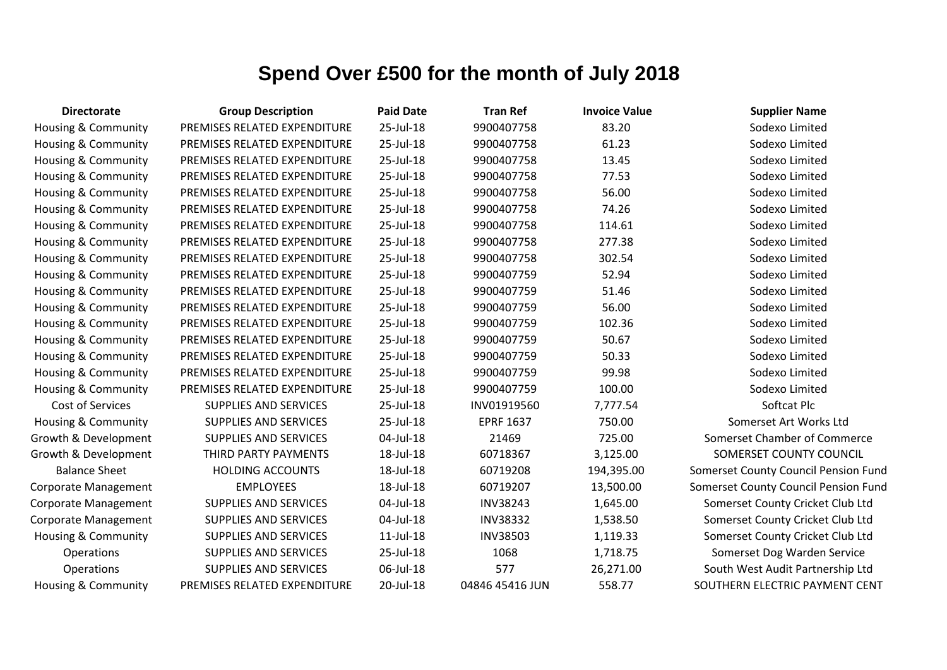| <b>Directorate</b>             | <b>Group Description</b>     | <b>Paid Date</b> | <b>Tran Ref</b>  | <b>Invoice Value</b> | <b>Supplier Name</b>                 |
|--------------------------------|------------------------------|------------------|------------------|----------------------|--------------------------------------|
| Housing & Community            | PREMISES RELATED EXPENDITURE | 25-Jul-18        | 9900407758       | 83.20                | Sodexo Limited                       |
| Housing & Community            | PREMISES RELATED EXPENDITURE | 25-Jul-18        | 9900407758       | 61.23                | Sodexo Limited                       |
| Housing & Community            | PREMISES RELATED EXPENDITURE | 25-Jul-18        | 9900407758       | 13.45                | Sodexo Limited                       |
| <b>Housing &amp; Community</b> | PREMISES RELATED EXPENDITURE | 25-Jul-18        | 9900407758       | 77.53                | Sodexo Limited                       |
| <b>Housing &amp; Community</b> | PREMISES RELATED EXPENDITURE | 25-Jul-18        | 9900407758       | 56.00                | Sodexo Limited                       |
| Housing & Community            | PREMISES RELATED EXPENDITURE | 25-Jul-18        | 9900407758       | 74.26                | Sodexo Limited                       |
| Housing & Community            | PREMISES RELATED EXPENDITURE | 25-Jul-18        | 9900407758       | 114.61               | Sodexo Limited                       |
| Housing & Community            | PREMISES RELATED EXPENDITURE | 25-Jul-18        | 9900407758       | 277.38               | Sodexo Limited                       |
| Housing & Community            | PREMISES RELATED EXPENDITURE | 25-Jul-18        | 9900407758       | 302.54               | Sodexo Limited                       |
| <b>Housing &amp; Community</b> | PREMISES RELATED EXPENDITURE | 25-Jul-18        | 9900407759       | 52.94                | Sodexo Limited                       |
| Housing & Community            | PREMISES RELATED EXPENDITURE | 25-Jul-18        | 9900407759       | 51.46                | Sodexo Limited                       |
| Housing & Community            | PREMISES RELATED EXPENDITURE | 25-Jul-18        | 9900407759       | 56.00                | Sodexo Limited                       |
| <b>Housing &amp; Community</b> | PREMISES RELATED EXPENDITURE | 25-Jul-18        | 9900407759       | 102.36               | Sodexo Limited                       |
| <b>Housing &amp; Community</b> | PREMISES RELATED EXPENDITURE | 25-Jul-18        | 9900407759       | 50.67                | Sodexo Limited                       |
| Housing & Community            | PREMISES RELATED EXPENDITURE | 25-Jul-18        | 9900407759       | 50.33                | Sodexo Limited                       |
| Housing & Community            | PREMISES RELATED EXPENDITURE | 25-Jul-18        | 9900407759       | 99.98                | Sodexo Limited                       |
| Housing & Community            | PREMISES RELATED EXPENDITURE | 25-Jul-18        | 9900407759       | 100.00               | Sodexo Limited                       |
| Cost of Services               | <b>SUPPLIES AND SERVICES</b> | 25-Jul-18        | INV01919560      | 7,777.54             | Softcat Plc                          |
| Housing & Community            | <b>SUPPLIES AND SERVICES</b> | 25-Jul-18        | <b>EPRF 1637</b> | 750.00               | Somerset Art Works Ltd               |
| Growth & Development           | <b>SUPPLIES AND SERVICES</b> | 04-Jul-18        | 21469            | 725.00               | Somerset Chamber of Commerce         |
| Growth & Development           | THIRD PARTY PAYMENTS         | 18-Jul-18        | 60718367         | 3,125.00             | SOMERSET COUNTY COUNCIL              |
| <b>Balance Sheet</b>           | <b>HOLDING ACCOUNTS</b>      | 18-Jul-18        | 60719208         | 194,395.00           | Somerset County Council Pension Fund |
| Corporate Management           | <b>EMPLOYEES</b>             | 18-Jul-18        | 60719207         | 13,500.00            | Somerset County Council Pension Fund |
| Corporate Management           | <b>SUPPLIES AND SERVICES</b> | 04-Jul-18        | <b>INV38243</b>  | 1,645.00             | Somerset County Cricket Club Ltd     |
| Corporate Management           | SUPPLIES AND SERVICES        | 04-Jul-18        | <b>INV38332</b>  | 1,538.50             | Somerset County Cricket Club Ltd     |
| <b>Housing &amp; Community</b> | <b>SUPPLIES AND SERVICES</b> | $11$ -Jul- $18$  | <b>INV38503</b>  | 1,119.33             | Somerset County Cricket Club Ltd     |
| Operations                     | <b>SUPPLIES AND SERVICES</b> | 25-Jul-18        | 1068             | 1,718.75             | Somerset Dog Warden Service          |
| Operations                     | <b>SUPPLIES AND SERVICES</b> | 06-Jul-18        | 577              | 26,271.00            | South West Audit Partnership Ltd     |
| <b>Housing &amp; Community</b> | PREMISES RELATED EXPENDITURE | 20-Jul-18        | 04846 45416 JUN  | 558.77               | SOUTHERN ELECTRIC PAYMENT CENT       |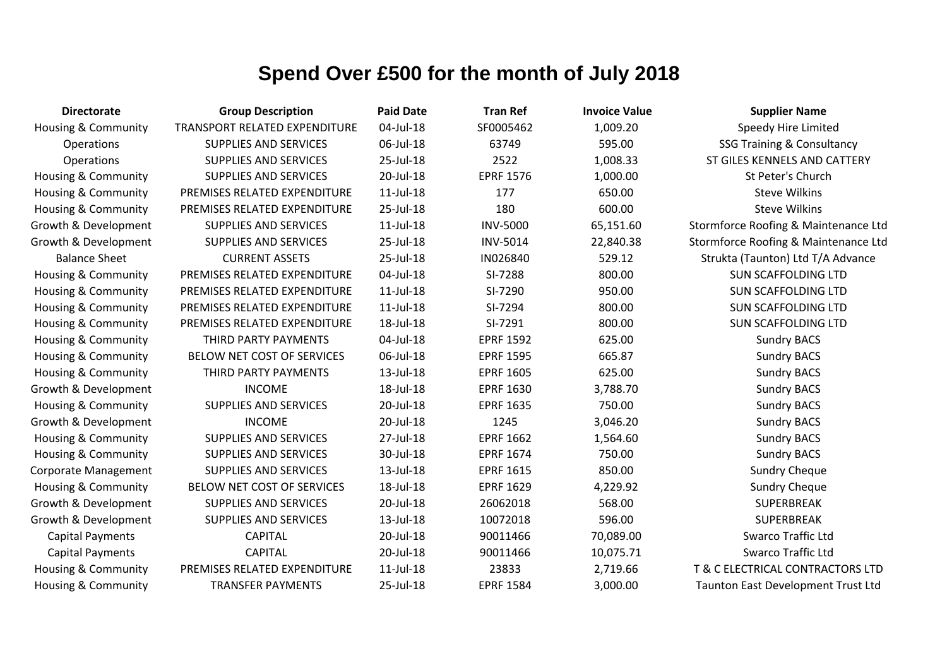| <b>Directorate</b>             | <b>Group Description</b>             | <b>Paid Date</b> | <b>Tran Ref</b>  | <b>Invoice Value</b> | <b>Supplier Name</b>                  |
|--------------------------------|--------------------------------------|------------------|------------------|----------------------|---------------------------------------|
| <b>Housing &amp; Community</b> | <b>TRANSPORT RELATED EXPENDITURE</b> | 04-Jul-18        | SF0005462        | 1,009.20             | Speedy Hire Limited                   |
| <b>Operations</b>              | <b>SUPPLIES AND SERVICES</b>         | 06-Jul-18        | 63749            | 595.00               | <b>SSG Training &amp; Consultancy</b> |
| Operations                     | <b>SUPPLIES AND SERVICES</b>         | 25-Jul-18        | 2522             | 1,008.33             | ST GILES KENNELS AND CATTERY          |
| <b>Housing &amp; Community</b> | <b>SUPPLIES AND SERVICES</b>         | 20-Jul-18        | <b>EPRF 1576</b> | 1,000.00             | St Peter's Church                     |
| <b>Housing &amp; Community</b> | PREMISES RELATED EXPENDITURE         | $11$ -Jul- $18$  | 177              | 650.00               | <b>Steve Wilkins</b>                  |
| <b>Housing &amp; Community</b> | PREMISES RELATED EXPENDITURE         | 25-Jul-18        | 180              | 600.00               | <b>Steve Wilkins</b>                  |
| Growth & Development           | <b>SUPPLIES AND SERVICES</b>         | $11$ -Jul- $18$  | <b>INV-5000</b>  | 65,151.60            | Stormforce Roofing & Maintenance Ltd  |
| Growth & Development           | <b>SUPPLIES AND SERVICES</b>         | 25-Jul-18        | <b>INV-5014</b>  | 22,840.38            | Stormforce Roofing & Maintenance Ltd  |
| <b>Balance Sheet</b>           | <b>CURRENT ASSETS</b>                | 25-Jul-18        | IN026840         | 529.12               | Strukta (Taunton) Ltd T/A Advance     |
| <b>Housing &amp; Community</b> | PREMISES RELATED EXPENDITURE         | 04-Jul-18        | SI-7288          | 800.00               | <b>SUN SCAFFOLDING LTD</b>            |
| <b>Housing &amp; Community</b> | PREMISES RELATED EXPENDITURE         | $11$ -Jul- $18$  | SI-7290          | 950.00               | <b>SUN SCAFFOLDING LTD</b>            |
| <b>Housing &amp; Community</b> | PREMISES RELATED EXPENDITURE         | $11$ -Jul- $18$  | SI-7294          | 800.00               | <b>SUN SCAFFOLDING LTD</b>            |
| <b>Housing &amp; Community</b> | PREMISES RELATED EXPENDITURE         | 18-Jul-18        | SI-7291          | 800.00               | <b>SUN SCAFFOLDING LTD</b>            |
| <b>Housing &amp; Community</b> | THIRD PARTY PAYMENTS                 | 04-Jul-18        | <b>EPRF 1592</b> | 625.00               | <b>Sundry BACS</b>                    |
| Housing & Community            | BELOW NET COST OF SERVICES           | 06-Jul-18        | <b>EPRF 1595</b> | 665.87               | <b>Sundry BACS</b>                    |
| Housing & Community            | THIRD PARTY PAYMENTS                 | 13-Jul-18        | <b>EPRF 1605</b> | 625.00               | <b>Sundry BACS</b>                    |
| Growth & Development           | <b>INCOME</b>                        | 18-Jul-18        | <b>EPRF 1630</b> | 3,788.70             | <b>Sundry BACS</b>                    |
| <b>Housing &amp; Community</b> | <b>SUPPLIES AND SERVICES</b>         | 20-Jul-18        | <b>EPRF 1635</b> | 750.00               | <b>Sundry BACS</b>                    |
| Growth & Development           | <b>INCOME</b>                        | 20-Jul-18        | 1245             | 3,046.20             | <b>Sundry BACS</b>                    |
| Housing & Community            | <b>SUPPLIES AND SERVICES</b>         | 27-Jul-18        | <b>EPRF 1662</b> | 1,564.60             | <b>Sundry BACS</b>                    |
| <b>Housing &amp; Community</b> | <b>SUPPLIES AND SERVICES</b>         | 30-Jul-18        | <b>EPRF 1674</b> | 750.00               | <b>Sundry BACS</b>                    |
| Corporate Management           | <b>SUPPLIES AND SERVICES</b>         | 13-Jul-18        | <b>EPRF 1615</b> | 850.00               | <b>Sundry Cheque</b>                  |
| Housing & Community            | BELOW NET COST OF SERVICES           | 18-Jul-18        | <b>EPRF 1629</b> | 4,229.92             | <b>Sundry Cheque</b>                  |
| Growth & Development           | <b>SUPPLIES AND SERVICES</b>         | 20-Jul-18        | 26062018         | 568.00               | SUPERBREAK                            |
| Growth & Development           | <b>SUPPLIES AND SERVICES</b>         | 13-Jul-18        | 10072018         | 596.00               | SUPERBREAK                            |
| <b>Capital Payments</b>        | <b>CAPITAL</b>                       | 20-Jul-18        | 90011466         | 70,089.00            | <b>Swarco Traffic Ltd</b>             |
| <b>Capital Payments</b>        | <b>CAPITAL</b>                       | 20-Jul-18        | 90011466         | 10,075.71            | <b>Swarco Traffic Ltd</b>             |
| Housing & Community            | PREMISES RELATED EXPENDITURE         | $11$ -Jul- $18$  | 23833            | 2,719.66             | T & C ELECTRICAL CONTRACTORS LTD      |
| Housing & Community            | <b>TRANSFER PAYMENTS</b>             | 25-Jul-18        | <b>EPRF 1584</b> | 3,000.00             | Taunton East Development Trust Ltd    |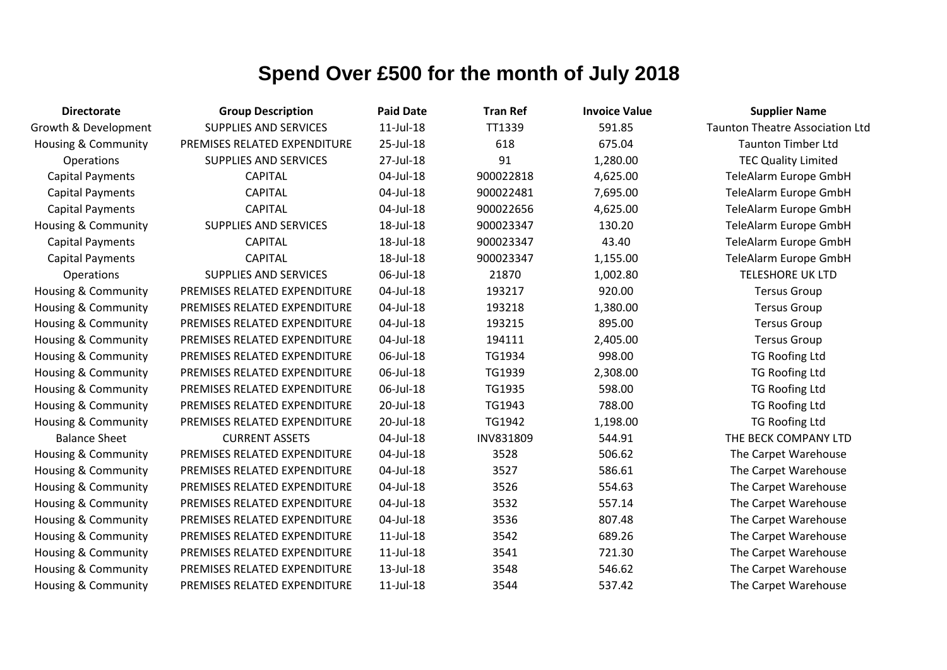| <b>Directorate</b>             | <b>Group Description</b>     | <b>Paid Date</b> | <b>Tran Ref</b> | <b>Invoice Value</b> | <b>Supplier Name</b>                   |
|--------------------------------|------------------------------|------------------|-----------------|----------------------|----------------------------------------|
| Growth & Development           | <b>SUPPLIES AND SERVICES</b> | $11$ -Jul- $18$  | TT1339          | 591.85               | <b>Taunton Theatre Association Ltd</b> |
| <b>Housing &amp; Community</b> | PREMISES RELATED EXPENDITURE | 25-Jul-18        | 618             | 675.04               | <b>Taunton Timber Ltd</b>              |
| Operations                     | <b>SUPPLIES AND SERVICES</b> | 27-Jul-18        | 91              | 1,280.00             | <b>TEC Quality Limited</b>             |
| <b>Capital Payments</b>        | <b>CAPITAL</b>               | 04-Jul-18        | 900022818       | 4,625.00             | TeleAlarm Europe GmbH                  |
| <b>Capital Payments</b>        | <b>CAPITAL</b>               | 04-Jul-18        | 900022481       | 7,695.00             | TeleAlarm Europe GmbH                  |
| <b>Capital Payments</b>        | <b>CAPITAL</b>               | 04-Jul-18        | 900022656       | 4,625.00             | TeleAlarm Europe GmbH                  |
| Housing & Community            | <b>SUPPLIES AND SERVICES</b> | 18-Jul-18        | 900023347       | 130.20               | TeleAlarm Europe GmbH                  |
| <b>Capital Payments</b>        | <b>CAPITAL</b>               | 18-Jul-18        | 900023347       | 43.40                | TeleAlarm Europe GmbH                  |
| <b>Capital Payments</b>        | <b>CAPITAL</b>               | 18-Jul-18        | 900023347       | 1,155.00             | TeleAlarm Europe GmbH                  |
| Operations                     | <b>SUPPLIES AND SERVICES</b> | 06-Jul-18        | 21870           | 1,002.80             | <b>TELESHORE UK LTD</b>                |
| Housing & Community            | PREMISES RELATED EXPENDITURE | 04-Jul-18        | 193217          | 920.00               | <b>Tersus Group</b>                    |
| <b>Housing &amp; Community</b> | PREMISES RELATED EXPENDITURE | 04-Jul-18        | 193218          | 1,380.00             | <b>Tersus Group</b>                    |
| <b>Housing &amp; Community</b> | PREMISES RELATED EXPENDITURE | 04-Jul-18        | 193215          | 895.00               | <b>Tersus Group</b>                    |
| Housing & Community            | PREMISES RELATED EXPENDITURE | 04-Jul-18        | 194111          | 2,405.00             | <b>Tersus Group</b>                    |
| <b>Housing &amp; Community</b> | PREMISES RELATED EXPENDITURE | 06-Jul-18        | TG1934          | 998.00               | <b>TG Roofing Ltd</b>                  |
| <b>Housing &amp; Community</b> | PREMISES RELATED EXPENDITURE | 06-Jul-18        | TG1939          | 2,308.00             | <b>TG Roofing Ltd</b>                  |
| Housing & Community            | PREMISES RELATED EXPENDITURE | 06-Jul-18        | TG1935          | 598.00               | <b>TG Roofing Ltd</b>                  |
| <b>Housing &amp; Community</b> | PREMISES RELATED EXPENDITURE | 20-Jul-18        | TG1943          | 788.00               | <b>TG Roofing Ltd</b>                  |
| Housing & Community            | PREMISES RELATED EXPENDITURE | 20-Jul-18        | TG1942          | 1,198.00             | <b>TG Roofing Ltd</b>                  |
| <b>Balance Sheet</b>           | <b>CURRENT ASSETS</b>        | 04-Jul-18        | INV831809       | 544.91               | THE BECK COMPANY LTD                   |
| <b>Housing &amp; Community</b> | PREMISES RELATED EXPENDITURE | 04-Jul-18        | 3528            | 506.62               | The Carpet Warehouse                   |
| Housing & Community            | PREMISES RELATED EXPENDITURE | 04-Jul-18        | 3527            | 586.61               | The Carpet Warehouse                   |
| Housing & Community            | PREMISES RELATED EXPENDITURE | 04-Jul-18        | 3526            | 554.63               | The Carpet Warehouse                   |
| <b>Housing &amp; Community</b> | PREMISES RELATED EXPENDITURE | 04-Jul-18        | 3532            | 557.14               | The Carpet Warehouse                   |
| <b>Housing &amp; Community</b> | PREMISES RELATED EXPENDITURE | 04-Jul-18        | 3536            | 807.48               | The Carpet Warehouse                   |
| <b>Housing &amp; Community</b> | PREMISES RELATED EXPENDITURE | $11$ -Jul- $18$  | 3542            | 689.26               | The Carpet Warehouse                   |
| Housing & Community            | PREMISES RELATED EXPENDITURE | $11$ -Jul- $18$  | 3541            | 721.30               | The Carpet Warehouse                   |
| <b>Housing &amp; Community</b> | PREMISES RELATED EXPENDITURE | 13-Jul-18        | 3548            | 546.62               | The Carpet Warehouse                   |
| <b>Housing &amp; Community</b> | PREMISES RELATED EXPENDITURE | $11$ -Jul- $18$  | 3544            | 537.42               | The Carpet Warehouse                   |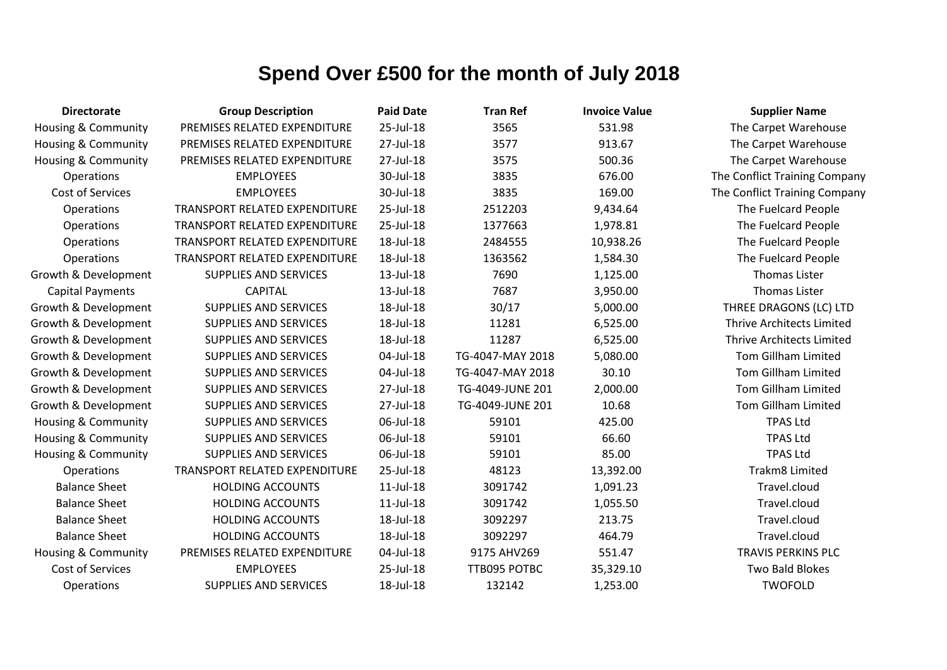| <b>Directorate</b>             | <b>Group Description</b>             | <b>Paid Date</b> | <b>Tran Ref</b>  | <b>Invoice Value</b> | <b>Supplier Name</b>             |
|--------------------------------|--------------------------------------|------------------|------------------|----------------------|----------------------------------|
| <b>Housing &amp; Community</b> | PREMISES RELATED EXPENDITURE         | 25-Jul-18        | 3565             | 531.98               | The Carpet Warehouse             |
| <b>Housing &amp; Community</b> | PREMISES RELATED EXPENDITURE         | 27-Jul-18        | 3577             | 913.67               | The Carpet Warehouse             |
| <b>Housing &amp; Community</b> | PREMISES RELATED EXPENDITURE         | 27-Jul-18        | 3575             | 500.36               | The Carpet Warehouse             |
| Operations                     | <b>EMPLOYEES</b>                     | 30-Jul-18        | 3835             | 676.00               | The Conflict Training Company    |
| Cost of Services               | <b>EMPLOYEES</b>                     | 30-Jul-18        | 3835             | 169.00               | The Conflict Training Company    |
| Operations                     | TRANSPORT RELATED EXPENDITURE        | 25-Jul-18        | 2512203          | 9,434.64             | The Fuelcard People              |
| Operations                     | TRANSPORT RELATED EXPENDITURE        | 25-Jul-18        | 1377663          | 1,978.81             | The Fuelcard People              |
| <b>Operations</b>              | TRANSPORT RELATED EXPENDITURE        | 18-Jul-18        | 2484555          | 10,938.26            | The Fuelcard People              |
| Operations                     | <b>TRANSPORT RELATED EXPENDITURE</b> | 18-Jul-18        | 1363562          | 1,584.30             | The Fuelcard People              |
| Growth & Development           | <b>SUPPLIES AND SERVICES</b>         | 13-Jul-18        | 7690             | 1,125.00             | <b>Thomas Lister</b>             |
| <b>Capital Payments</b>        | <b>CAPITAL</b>                       | 13-Jul-18        | 7687             | 3,950.00             | <b>Thomas Lister</b>             |
| Growth & Development           | <b>SUPPLIES AND SERVICES</b>         | 18-Jul-18        | 30/17            | 5,000.00             | THREE DRAGONS (LC) LTD           |
| Growth & Development           | <b>SUPPLIES AND SERVICES</b>         | 18-Jul-18        | 11281            | 6,525.00             | <b>Thrive Architects Limited</b> |
| Growth & Development           | <b>SUPPLIES AND SERVICES</b>         | 18-Jul-18        | 11287            | 6,525.00             | Thrive Architects Limited        |
| Growth & Development           | <b>SUPPLIES AND SERVICES</b>         | 04-Jul-18        | TG-4047-MAY 2018 | 5,080.00             | Tom Gillham Limited              |
| Growth & Development           | <b>SUPPLIES AND SERVICES</b>         | 04-Jul-18        | TG-4047-MAY 2018 | 30.10                | <b>Tom Gillham Limited</b>       |
| Growth & Development           | <b>SUPPLIES AND SERVICES</b>         | 27-Jul-18        | TG-4049-JUNE 201 | 2,000.00             | Tom Gillham Limited              |
| Growth & Development           | <b>SUPPLIES AND SERVICES</b>         | 27-Jul-18        | TG-4049-JUNE 201 | 10.68                | <b>Tom Gillham Limited</b>       |
| <b>Housing &amp; Community</b> | <b>SUPPLIES AND SERVICES</b>         | 06-Jul-18        | 59101            | 425.00               | <b>TPAS Ltd</b>                  |
| <b>Housing &amp; Community</b> | <b>SUPPLIES AND SERVICES</b>         | 06-Jul-18        | 59101            | 66.60                | <b>TPAS Ltd</b>                  |
| Housing & Community            | <b>SUPPLIES AND SERVICES</b>         | 06-Jul-18        | 59101            | 85.00                | <b>TPAS Ltd</b>                  |
| Operations                     | TRANSPORT RELATED EXPENDITURE        | 25-Jul-18        | 48123            | 13,392.00            | <b>Trakm8 Limited</b>            |
| <b>Balance Sheet</b>           | <b>HOLDING ACCOUNTS</b>              | $11$ -Jul- $18$  | 3091742          | 1,091.23             | Travel.cloud                     |
| <b>Balance Sheet</b>           | <b>HOLDING ACCOUNTS</b>              | $11$ -Jul- $18$  | 3091742          | 1,055.50             | Travel.cloud                     |
| <b>Balance Sheet</b>           | <b>HOLDING ACCOUNTS</b>              | 18-Jul-18        | 3092297          | 213.75               | Travel.cloud                     |
| <b>Balance Sheet</b>           | <b>HOLDING ACCOUNTS</b>              | 18-Jul-18        | 3092297          | 464.79               | Travel.cloud                     |
| <b>Housing &amp; Community</b> | PREMISES RELATED EXPENDITURE         | 04-Jul-18        | 9175 AHV269      | 551.47               | <b>TRAVIS PERKINS PLC</b>        |
| Cost of Services               | <b>EMPLOYEES</b>                     | 25-Jul-18        | TTB095 POTBC     | 35,329.10            | Two Bald Blokes                  |
| Operations                     | <b>SUPPLIES AND SERVICES</b>         | 18-Jul-18        | 132142           | 1,253.00             | <b>TWOFOLD</b>                   |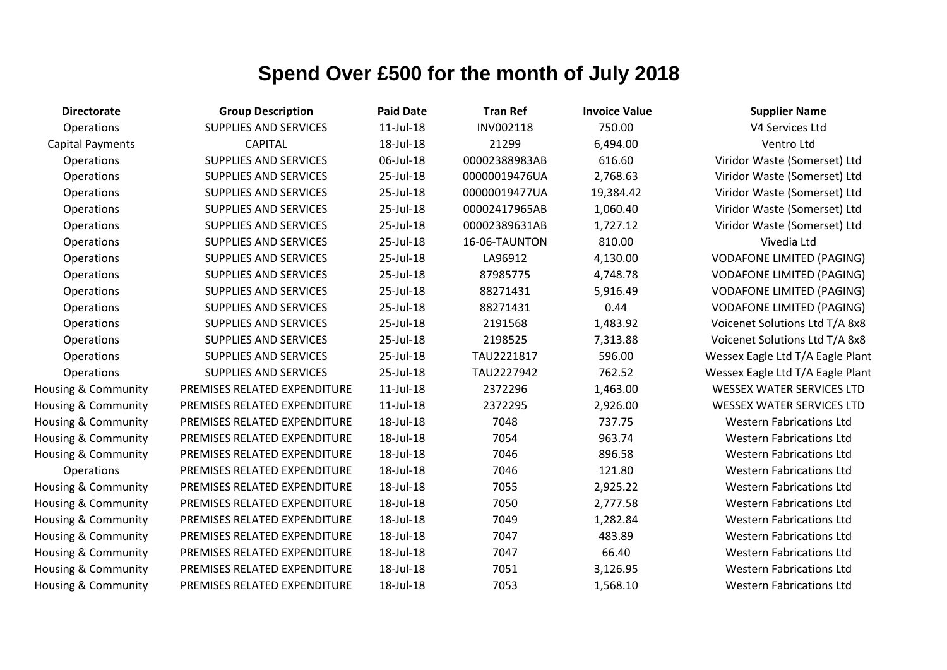| <b>Directorate</b>             | <b>Group Description</b>     | <b>Paid Date</b> | <b>Tran Ref</b> | <b>Invoice Value</b> | <b>Supplier Name</b>          |
|--------------------------------|------------------------------|------------------|-----------------|----------------------|-------------------------------|
| Operations                     | <b>SUPPLIES AND SERVICES</b> | $11$ -Jul- $18$  | INV002118       | 750.00               | V4 Services Ltd               |
| <b>Capital Payments</b>        | <b>CAPITAL</b>               | 18-Jul-18        | 21299           | 6,494.00             | Ventro Ltd                    |
| Operations                     | <b>SUPPLIES AND SERVICES</b> | 06-Jul-18        | 00002388983AB   | 616.60               | Viridor Waste (Somer:         |
| Operations                     | <b>SUPPLIES AND SERVICES</b> | 25-Jul-18        | 00000019476UA   | 2,768.63             | Viridor Waste (Somer:         |
| Operations                     | <b>SUPPLIES AND SERVICES</b> | 25-Jul-18        | 00000019477UA   | 19,384.42            | Viridor Waste (Somer:         |
| Operations                     | <b>SUPPLIES AND SERVICES</b> | 25-Jul-18        | 00002417965AB   | 1,060.40             | Viridor Waste (Somer:         |
| Operations                     | <b>SUPPLIES AND SERVICES</b> | 25-Jul-18        | 00002389631AB   | 1,727.12             | Viridor Waste (Somer:         |
| Operations                     | <b>SUPPLIES AND SERVICES</b> | 25-Jul-18        | 16-06-TAUNTON   | 810.00               | Vivedia Ltd                   |
| Operations                     | <b>SUPPLIES AND SERVICES</b> | 25-Jul-18        | LA96912         | 4,130.00             | <b>VODAFONE LIMITED (F</b>    |
| Operations                     | <b>SUPPLIES AND SERVICES</b> | 25-Jul-18        | 87985775        | 4,748.78             | <b>VODAFONE LIMITED (F</b>    |
| Operations                     | SUPPLIES AND SERVICES        | 25-Jul-18        | 88271431        | 5,916.49             | <b>VODAFONE LIMITED (F</b>    |
| Operations                     | <b>SUPPLIES AND SERVICES</b> | 25-Jul-18        | 88271431        | 0.44                 | <b>VODAFONE LIMITED (F</b>    |
| Operations                     | <b>SUPPLIES AND SERVICES</b> | 25-Jul-18        | 2191568         | 1,483.92             | Voicenet Solutions Ltd        |
| Operations                     | <b>SUPPLIES AND SERVICES</b> | 25-Jul-18        | 2198525         | 7,313.88             | <b>Voicenet Solutions Ltd</b> |
| Operations                     | <b>SUPPLIES AND SERVICES</b> | 25-Jul-18        | TAU2221817      | 596.00               | Wessex Eagle Ltd T/A Ea       |
| Operations                     | <b>SUPPLIES AND SERVICES</b> | 25-Jul-18        | TAU2227942      | 762.52               | Wessex Eagle Ltd T/A Ea       |
| Housing & Community            | PREMISES RELATED EXPENDITURE | $11$ -Jul- $18$  | 2372296         | 1,463.00             | <b>WESSEX WATER SERVI</b>     |
| <b>Housing &amp; Community</b> | PREMISES RELATED EXPENDITURE | $11$ -Jul- $18$  | 2372295         | 2,926.00             | <b>WESSEX WATER SERVI</b>     |
| Housing & Community            | PREMISES RELATED EXPENDITURE | 18-Jul-18        | 7048            | 737.75               | <b>Western Fabrication</b>    |
| <b>Housing &amp; Community</b> | PREMISES RELATED EXPENDITURE | 18-Jul-18        | 7054            | 963.74               | <b>Western Fabrication</b>    |
| <b>Housing &amp; Community</b> | PREMISES RELATED EXPENDITURE | 18-Jul-18        | 7046            | 896.58               | <b>Western Fabrication</b>    |
| Operations                     | PREMISES RELATED EXPENDITURE | 18-Jul-18        | 7046            | 121.80               | <b>Western Fabrication</b>    |
| Housing & Community            | PREMISES RELATED EXPENDITURE | 18-Jul-18        | 7055            | 2,925.22             | <b>Western Fabrication</b>    |
| <b>Housing &amp; Community</b> | PREMISES RELATED EXPENDITURE | 18-Jul-18        | 7050            | 2,777.58             | <b>Western Fabrication</b>    |
| Housing & Community            | PREMISES RELATED EXPENDITURE | 18-Jul-18        | 7049            | 1,282.84             | <b>Western Fabrication</b>    |
| <b>Housing &amp; Community</b> | PREMISES RELATED EXPENDITURE | 18-Jul-18        | 7047            | 483.89               | <b>Western Fabrication</b>    |
| Housing & Community            | PREMISES RELATED EXPENDITURE | 18-Jul-18        | 7047            | 66.40                | <b>Western Fabrication</b>    |
| Housing & Community            | PREMISES RELATED EXPENDITURE | 18-Jul-18        | 7051            | 3,126.95             | <b>Western Fabrication</b>    |
| <b>Housing &amp; Community</b> | PREMISES RELATED EXPENDITURE | 18-Jul-18        | 7053            | 1,568.10             | <b>Western Fabrication</b>    |

idor Waste (Somerset) Ltd idor Waste (Somerset) Ltd idor Waste (Somerset) Ltd idor Waste (Somerset) Ltd idor Waste (Somerset) Ltd **DAFONE LIMITED (PAGING)** OAFONE LIMITED (PAGING) OAFONE LIMITED (PAGING) DAFONE LIMITED (PAGING) cenet Solutions Ltd T/A 8x8 Cenet Solutions Ltd T/A 8x8 Sex Eagle Ltd T/A Eagle Plant Sex Eagle Ltd T/A Eagle Plant SSEX WATER SERVICES LTD SSEX WATER SERVICES LTD **Western Fabrications Ltd** Western Fabrications Ltd Western Fabrications Ltd **Nestern Fabrications Ltd** Western Fabrications Ltd Vestern Fabrications Ltd Western Fabrications Ltd **Western Fabrications Ltd Western Fabrications Ltd** Western Fabrications Ltd Western Fabrications Ltd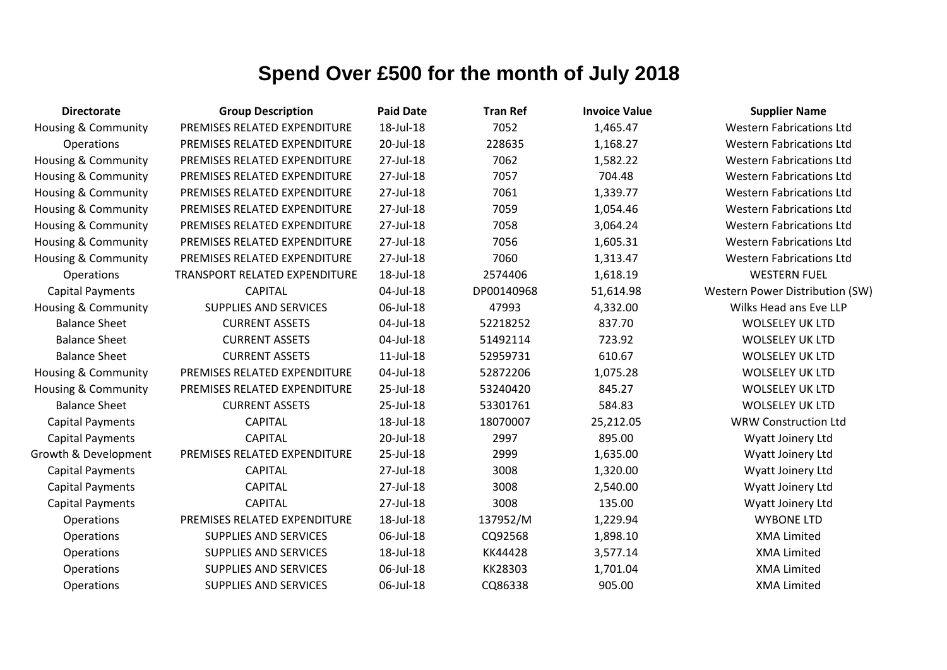| <b>Directorate</b>             | <b>Group Description</b>      | <b>Paid Date</b> | <b>Tran Ref</b> | <b>Invoice Value</b> | <b>Supplier Name</b>            |
|--------------------------------|-------------------------------|------------------|-----------------|----------------------|---------------------------------|
| <b>Housing &amp; Community</b> | PREMISES RELATED EXPENDITURE  | 18-Jul-18        | 7052            | 1,465.47             | <b>Western Fabrications Ltd</b> |
| Operations                     | PREMISES RELATED EXPENDITURE  | 20-Jul-18        | 228635          | 1,168.27             | <b>Western Fabrications Ltd</b> |
| <b>Housing &amp; Community</b> | PREMISES RELATED EXPENDITURE  | 27-Jul-18        | 7062            | 1,582.22             | <b>Western Fabrications Ltd</b> |
| Housing & Community            | PREMISES RELATED EXPENDITURE  | 27-Jul-18        | 7057            | 704.48               | <b>Western Fabrications Ltd</b> |
| <b>Housing &amp; Community</b> | PREMISES RELATED EXPENDITURE  | 27-Jul-18        | 7061            | 1,339.77             | <b>Western Fabrications Ltd</b> |
| <b>Housing &amp; Community</b> | PREMISES RELATED EXPENDITURE  | 27-Jul-18        | 7059            | 1,054.46             | <b>Western Fabrications Ltd</b> |
| <b>Housing &amp; Community</b> | PREMISES RELATED EXPENDITURE  | 27-Jul-18        | 7058            | 3,064.24             | <b>Western Fabrications Ltd</b> |
| Housing & Community            | PREMISES RELATED EXPENDITURE  | 27-Jul-18        | 7056            | 1,605.31             | <b>Western Fabrications Ltd</b> |
| <b>Housing &amp; Community</b> | PREMISES RELATED EXPENDITURE  | 27-Jul-18        | 7060            | 1,313.47             | <b>Western Fabrications Ltd</b> |
| Operations                     | TRANSPORT RELATED EXPENDITURE | 18-Jul-18        | 2574406         | 1,618.19             | <b>WESTERN FUEL</b>             |
| <b>Capital Payments</b>        | <b>CAPITAL</b>                | 04-Jul-18        | DP00140968      | 51,614.98            | Western Power Distribution (SW) |
| <b>Housing &amp; Community</b> | <b>SUPPLIES AND SERVICES</b>  | 06-Jul-18        | 47993           | 4,332.00             | Wilks Head ans Eve LLP          |
| <b>Balance Sheet</b>           | <b>CURRENT ASSETS</b>         | 04-Jul-18        | 52218252        | 837.70               | <b>WOLSELEY UK LTD</b>          |
| <b>Balance Sheet</b>           | <b>CURRENT ASSETS</b>         | 04-Jul-18        | 51492114        | 723.92               | <b>WOLSELEY UK LTD</b>          |
| <b>Balance Sheet</b>           | <b>CURRENT ASSETS</b>         | 11-Jul-18        | 52959731        | 610.67               | <b>WOLSELEY UK LTD</b>          |
| <b>Housing &amp; Community</b> | PREMISES RELATED EXPENDITURE  | 04-Jul-18        | 52872206        | 1,075.28             | <b>WOLSELEY UK LTD</b>          |
| Housing & Community            | PREMISES RELATED EXPENDITURE  | 25-Jul-18        | 53240420        | 845.27               | <b>WOLSELEY UK LTD</b>          |
| <b>Balance Sheet</b>           | <b>CURRENT ASSETS</b>         | 25-Jul-18        | 53301761        | 584.83               | <b>WOLSELEY UK LTD</b>          |
| <b>Capital Payments</b>        | <b>CAPITAL</b>                | 18-Jul-18        | 18070007        | 25,212.05            | <b>WRW Construction Ltd</b>     |
| <b>Capital Payments</b>        | <b>CAPITAL</b>                | 20-Jul-18        | 2997            | 895.00               | Wyatt Joinery Ltd               |
| Growth & Development           | PREMISES RELATED EXPENDITURE  | 25-Jul-18        | 2999            | 1,635.00             | Wyatt Joinery Ltd               |
| <b>Capital Payments</b>        | <b>CAPITAL</b>                | 27-Jul-18        | 3008            | 1,320.00             | Wyatt Joinery Ltd               |
| <b>Capital Payments</b>        | <b>CAPITAL</b>                | 27-Jul-18        | 3008            | 2,540.00             | Wyatt Joinery Ltd               |
| <b>Capital Payments</b>        | <b>CAPITAL</b>                | 27-Jul-18        | 3008            | 135.00               | Wyatt Joinery Ltd               |
| Operations                     | PREMISES RELATED EXPENDITURE  | 18-Jul-18        | 137952/M        | 1,229.94             | <b>WYBONE LTD</b>               |
| Operations                     | <b>SUPPLIES AND SERVICES</b>  | 06-Jul-18        | CQ92568         | 1,898.10             | <b>XMA Limited</b>              |
| Operations                     | SUPPLIES AND SERVICES         | 18-Jul-18        | KK44428         | 3,577.14             | <b>XMA Limited</b>              |
| Operations                     | SUPPLIES AND SERVICES         | 06-Jul-18        | KK28303         | 1,701.04             | <b>XMA Limited</b>              |
| Operations                     | <b>SUPPLIES AND SERVICES</b>  | 06-Jul-18        | CQ86338         | 905.00               | <b>XMA Limited</b>              |